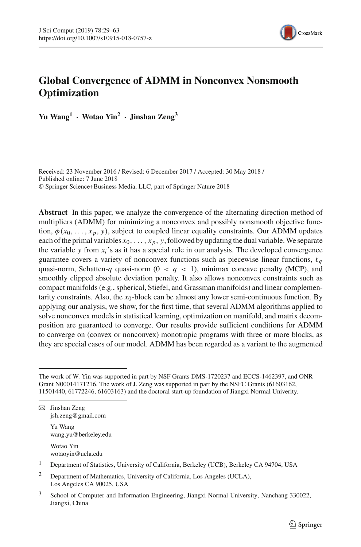

# **Global Convergence of ADMM in Nonconvex Nonsmooth Optimization**

**Yu Wang1 · Wotao Yin<sup>2</sup> · Jinshan Zeng3**

Received: 23 November 2016 / Revised: 6 December 2017 / Accepted: 30 May 2018 / Published online: 7 June 2018 © Springer Science+Business Media, LLC, part of Springer Nature 2018

**Abstract** In this paper, we analyze the convergence of the alternating direction method of multipliers (ADMM) for minimizing a nonconvex and possibly nonsmooth objective function,  $\phi(x_0, \ldots, x_p, y)$ , subject to coupled linear equality constraints. Our ADMM updates each of the primal variables  $x_0, \ldots, x_n, y$ , followed by updating the dual variable. We separate the variable  $y$  from  $x_i$ 's as it has a special role in our analysis. The developed convergence guarantee covers a variety of nonconvex functions such as piecewise linear functions,  $\ell_a$ quasi-norm, Schatten-*q* quasi-norm ( $0 < q < 1$ ), minimax concave penalty (MCP), and smoothly clipped absolute deviation penalty. It also allows nonconvex constraints such as compact manifolds (e.g., spherical, Stiefel, and Grassman manifolds) and linear complementarity constraints. Also, the  $x_0$ -block can be almost any lower semi-continuous function. By applying our analysis, we show, for the first time, that several ADMM algorithms applied to solve nonconvex models in statistical learning, optimization on manifold, and matrix decomposition are guaranteed to converge. Our results provide sufficient conditions for ADMM to converge on (convex or nonconvex) monotropic programs with three or more blocks, as they are special cases of our model. ADMM has been regarded as a variant to the augmented

The work of W. Yin was supported in part by NSF Grants DMS-1720237 and ECCS-1462397, and ONR Grant N00014171216. The work of J. Zeng was supported in part by the NSFC Grants (61603162, 11501440, 61772246, 61603163) and the doctoral start-up foundation of Jiangxi Normal Univerity.

 $\boxtimes$  Jinshan Zeng jsh.zeng@gmail.com

Yu Wang wang.yu@berkeley.edu

Wotao Yin wotaoyin@ucla.edu

<sup>&</sup>lt;sup>1</sup> Department of Statistics, University of California, Berkeley (UCB), Berkeley CA 94704, USA

<sup>2</sup> Department of Mathematics, University of California, Los Angeles (UCLA), Los Angeles CA 90025, USA

<sup>&</sup>lt;sup>3</sup> School of Computer and Information Engineering, Jiangxi Normal University, Nanchang 330022, Jiangxi, China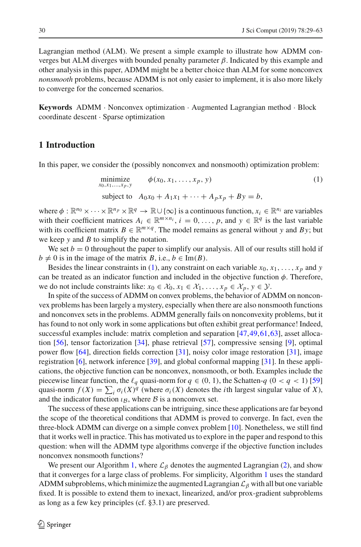Lagrangian method (ALM). We present a simple example to illustrate how ADMM converges but ALM diverges with bounded penalty parameter β. Indicated by this example and other analysis in this paper, ADMM might be a better choice than ALM for some nonconvex *nonsmooth* problems, because ADMM is not only easier to implement, it is also more likely to converge for the concerned scenarios.

**Keywords** ADMM · Nonconvex optimization · Augmented Lagrangian method · Block coordinate descent · Sparse optimization

# **1 Introduction**

In this paper, we consider the (possibly nonconvex and nonsmooth) optimization problem:

<span id="page-1-0"></span>minimize  
\n
$$
x_0, x_1, ..., x_p, y
$$
 (1)  
\nsubject to  $A_0x_0 + A_1x_1 + ... + A_px_p + By = b$ ,

where  $\phi : \mathbb{R}^{n_0} \times \cdots \times \mathbb{R}^{n_p} \times \mathbb{R}^q \to \mathbb{R} \cup \{\infty\}$  is a continuous function,  $x_i \in \mathbb{R}^{n_i}$  are variables with their coefficient matrices  $A_i \in \mathbb{R}^{m \times n_i}$ ,  $i = 0, \ldots, p$ , and  $y \in \mathbb{R}^q$  is the last variable with its coefficient matrix  $B \in \mathbb{R}^{m \times q}$ . The model remains as general without *y* and *By*; but we keep *y* and *B* to simplify the notation.

We set  $b = 0$  throughout the paper to simplify our analysis. All of our results still hold if  $b \neq 0$  is in the image of the matrix *B*, i.e.,  $b \in \text{Im}(B)$ .

Besides the linear constraints in [\(1\)](#page-1-0), any constraint on each variable  $x_0, x_1, \ldots, x_p$  and *y* can be treated as an indicator function and included in the objective function  $\phi$ . Therefore, we do not include constraints like:  $x_0 \in \mathcal{X}_0$ ,  $x_1 \in \mathcal{X}_1$ , ...,  $x_p \in \mathcal{X}_p$ ,  $y \in \mathcal{Y}$ .

In spite of the success of ADMM on convex problems, the behavior of ADMM on nonconvex problems has been largely a mystery, especially when there are also nonsmooth functions and nonconvex sets in the problems. ADMM generally fails on nonconvexity problems, but it has found to not only work in some applications but often exhibit great performance! Indeed, successful examples include: matrix completion and separation [\[47](#page-33-0)[,49,](#page-33-1)[61](#page-34-0)[,63\]](#page-34-1), asset allocation [\[56\]](#page-34-2), tensor factorization [\[34](#page-33-2)], phase retrieval [\[57\]](#page-34-3), compressive sensing [\[9](#page-32-0)], optimal power flow [\[64](#page-34-4)], direction fields correction [\[31\]](#page-33-3), noisy color image restoration [\[31\]](#page-33-3), image registration [\[6](#page-32-1)], network inference [\[39\]](#page-33-4), and global conformal mapping [\[31](#page-33-3)]. In these applications, the objective function can be nonconvex, nonsmooth, or both. Examples include the piecewise linear function, the  $\ell_q$  quasi-norm for  $q \in (0, 1)$ , the Schatten- $q$  ( $0 < q < 1$ ) [\[59\]](#page-34-5) quasi-norm  $f(X) = \sum_i \sigma_i(X)^q$  (where  $\sigma_i(X)$  denotes the *i*th largest singular value of *X*), and the indicator function  $\iota_{\mathcal{B}}$ , where  $\beta$  is a nonconvex set.

The success of these applications can be intriguing, since these applications are far beyond the scope of the theoretical conditions that ADMM is proved to converge. In fact, even the three-block ADMM can diverge on a simple convex problem [\[10](#page-32-2)]. Nonetheless, we still find that it works well in practice. This has motivated us to explore in the paper and respond to this question: when will the ADMM type algorithms converge if the objective function includes nonconvex nonsmooth functions?

We present our Algorithm [1,](#page-2-0) where  $\mathcal{L}_{\beta}$  denotes the augmented Lagrangian [\(2\)](#page-2-1), and show that it converges for a large class of problems. For simplicity, Algorithm [1](#page-2-0) uses the standard ADMM subproblems, which minimize the augmented Lagrangian *L*<sup>β</sup> with all but one variable fixed. It is possible to extend them to inexact, linearized, and/or prox-gradient subproblems as long as a few key principles (cf. §3.1) are preserved.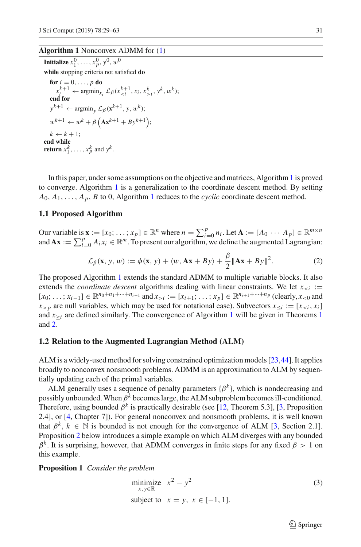# <span id="page-2-0"></span>**Algorithm 1** Nonconvex ADMM for [\(1\)](#page-1-0)

**Initialize**  $x_1^0, \ldots, x_p^0, y^0, w^0$ **while** stopping criteria not satisfied **do for**  $i = 0, \ldots, p$  **do**  $x_i^{k+1} \leftarrow \text{argmin}_{x_i} \mathcal{L}_{\beta}(x_{i}^k, y^k, w^k);$ **end for**  $y^{k+1} \leftarrow \arg\min_{y} \mathcal{L}_{\beta}(\mathbf{x}^{k+1}, y, w^k);$  $w^{k+1} \leftarrow w^k + \beta \left( \mathbf{A} \mathbf{x}^{k+1} + B \mathbf{y}^{k+1} \right);$  $k \leftarrow k + 1$ ; **end while return**  $x_1^k, \ldots, x_p^k$  and  $y^k$ .

In this paper, under some assumptions on the objective and matrices, Algorithm [1](#page-2-0) is proved to converge. Algorithm [1](#page-2-0) is a generalization to the coordinate descent method. By setting  $A_0, A_1, \ldots, A_p, B$  $A_0, A_1, \ldots, A_p, B$  $A_0, A_1, \ldots, A_p, B$  to 0, Algorithm 1 reduces to the *cyclic* coordinate descent method.

## **1.1 Proposed Algorithm**

Our variable is  $\mathbf{x} := [x_0; \dots; x_p] \in \mathbb{R}^n$  where  $n = \sum_{i=0}^p n_i$ . Let  $\mathbf{A} := [A_0 \cdots A_p] \in \mathbb{R}^{m \times n}$ and  $\mathbf{A}\mathbf{x} := \sum_{i=0}^p A_i x_i \in \mathbb{R}^m$ . To present our algorithm, we define the augmented Lagrangian:

<span id="page-2-1"></span>
$$
\mathcal{L}_{\beta}(\mathbf{x}, y, w) := \phi(\mathbf{x}, y) + \langle w, \mathbf{A}\mathbf{x} + By \rangle + \frac{\beta}{2} ||\mathbf{A}\mathbf{x} + By||^2.
$$
 (2)

The proposed Algorithm [1](#page-2-0) extends the standard ADMM to multiple variable blocks. It also extends the *coordinate descent* algorithms dealing with linear constraints. We let  $x_{\leq i}$  :=  $[x_0; \ldots; x_{i-1}]$  ∈  $\mathbb{R}^{n_0+n_1+\cdots+n_{i-1}}$  and  $x_{>i} := [x_{i+1}; \ldots; x_p]$  ∈  $\mathbb{R}^{n_{i+1}+\cdots+n_p}$  (clearly,  $x_{<0}$  and *x*>*p* are null variables, which may be used for notational ease). Subvectors  $x_{\leq i} := [x_{\leq i}, x_i]$ and  $x>Y_i$  are defined similarly. The convergence of Algorithm [1](#page-8-0) will be given in Theorems 1 and [2.](#page-9-0)

## **1.2 Relation to the Augmented Lagrangian Method (ALM)**

ALM is a widely-used method for solving constrained optimization models [\[23](#page-32-3)[,44\]](#page-33-5). It applies broadly to nonconvex nonsmooth problems. ADMM is an approximation to ALM by sequentially updating each of the primal variables.

ALM generally uses a sequence of penalty parameters  $\{\beta^k\}$ , which is nondecreasing and possibly unbounded. When  $\beta^k$  becomes large, the ALM subproblem becomes ill-conditioned. Therefore, using bounded  $\beta^k$  is practically desirable (see [\[12](#page-32-4), Theorem 5.3], [\[3,](#page-32-5) Proposition 2.4], or [\[4,](#page-32-6) Chapter 7]). For general nonconvex and nonsmooth problems, it is well known that  $\beta^k$ ,  $k \in \mathbb{N}$  is bounded is not enough for the convergence of ALM [\[3,](#page-32-5) Section 2.1]. Proposition [2](#page-10-0) below introduces a simple example on which ALM diverges with any bounded  $\beta^k$ . It is surprising, however, that ADMM converges in finite steps for any fixed  $\beta > 1$  on this example.

<span id="page-2-3"></span>**Proposition 1** *Consider the problem*

$$
\begin{array}{ll}\text{minimize} & x^2 - y^2\\ \text{subject to} & x = y, \ x \in [-1, 1]. \end{array} \tag{3}
$$

<span id="page-2-2"></span> $\circled{2}$  Springer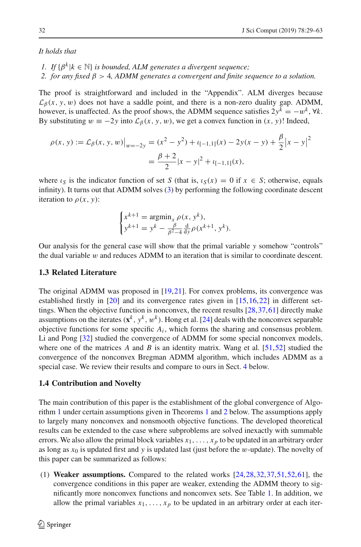#### *It holds that*

- *1. If*  $\{\beta^k | k \in \mathbb{N}\}\$  *is bounded, ALM generates a divergent sequence*;
- *2. for any fixed* β > 4*, ADMM generates a convergent and finite sequence to a solution.*

The proof is straightforward and included in the "Appendix". ALM diverges because  $\mathcal{L}_{\beta}(x, y, w)$  does not have a saddle point, and there is a non-zero duality gap. ADMM, however, is unaffected. As the proof shows, the ADMM sequence satisfies  $2y^k = -w^k$ ,  $\forall k$ . By substituting  $w \equiv -2y$  into  $\mathcal{L}_{\beta}(x, y, w)$ , we get a convex function in  $(x, y)$ ! Indeed,

$$
\rho(x, y) := \mathcal{L}_{\beta}(x, y, w)|_{w=-2y} = (x^2 - y^2) + \iota_{[-1, 1]}(x) - 2y(x - y) + \frac{\beta}{2}|x - y|^2
$$

$$
= \frac{\beta + 2}{2}|x - y|^2 + \iota_{[-1, 1]}(x),
$$

where  $\iota_S$  is the indicator function of set *S* (that is,  $\iota_S(x) = 0$  if  $x \in S$ ; otherwise, equals infinity). It turns out that ADMM solves [\(3\)](#page-2-2) by performing the following coordinate descent iteration to  $\rho(x, y)$ :

$$
\begin{cases} x^{k+1} = \operatorname{argmin}_x \rho(x, y^k), \\ y^{k+1} = y^k - \frac{\beta}{\beta^2 - 4} \frac{d}{dy} \rho(x^{k+1}, y^k). \end{cases}
$$

Our analysis for the general case will show that the primal variable *y* somehow "controls" the dual variable  $w$  and reduces ADMM to an iteration that is similar to coordinate descent.

# **1.3 Related Literature**

The original ADMM was proposed in [\[19](#page-32-7)[,21\]](#page-32-8). For convex problems, its convergence was established firstly in [\[20\]](#page-32-9) and its convergence rates given in [\[15](#page-32-10)[,16,](#page-32-11)[22](#page-32-12)] in different settings. When the objective function is nonconvex, the recent results [\[28](#page-33-6)[,37,](#page-33-7)[61](#page-34-0)] directly make assumptions on the iterates  $(x^k, y^k, w^k)$ . Hong et al. [\[24\]](#page-32-13) deals with the nonconvex separable objective functions for some specific  $A_i$ , which forms the sharing and consensus problem. Li and Pong [\[32\]](#page-33-8) studied the convergence of ADMM for some special nonconvex models, where one of the matrices *A* and *B* is an identity matrix. Wang et al. [\[51](#page-33-9)[,52\]](#page-33-10) studied the convergence of the nonconvex Bregman ADMM algorithm, which includes ADMM as a special case. We review their results and compare to ours in Sect. [4](#page-18-0) below.

#### **1.4 Contribution and Novelty**

The main contribution of this paper is the establishment of the global convergence of Algorithm [1](#page-2-0) under certain assumptions given in Theorems [1](#page-8-0) and [2](#page-9-0) below. The assumptions apply to largely many nonconvex and nonsmooth objective functions. The developed theoretical results can be extended to the case where subproblems are solved inexactly with summable errors. We also allow the primal block variables  $x_1, \ldots, x_p$  to be updated in an arbitrary order as long as *x*<sup>0</sup> is updated first and *y* is updated last (just before the w-update). The novelty of this paper can be summarized as follows:

(1) **Weaker assumptions.** Compared to the related works [\[24,](#page-32-13)[28](#page-33-6)[,32,](#page-33-8)[37](#page-33-7)[,51](#page-33-9)[,52](#page-33-10)[,61\]](#page-34-0), the convergence conditions in this paper are weaker, extending the ADMM theory to significantly more nonconvex functions and nonconvex sets. See Table [1.](#page-6-0) In addition, we allow the primal variables  $x_1, \ldots, x_p$  to be updated in an arbitrary order at each iter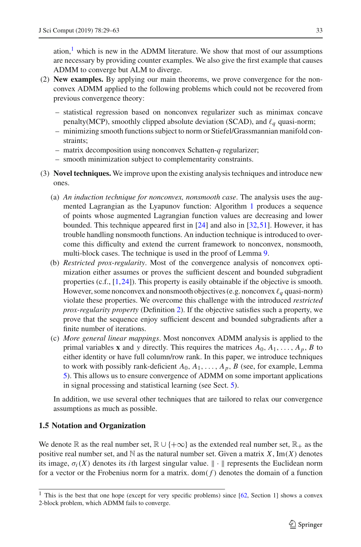ation, $\frac{1}{1}$  which is new in the ADMM literature. We show that most of our assumptions are necessary by providing counter examples. We also give the first example that causes ADMM to converge but ALM to diverge.

- (2) **New examples.** By applying our main theorems, we prove convergence for the nonconvex ADMM applied to the following problems which could not be recovered from previous convergence theory:
	- statistical regression based on nonconvex regularizer such as minimax concave penalty(MCP), smoothly clipped absolute deviation (SCAD), and  $\ell_a$  quasi-norm;
	- minimizing smooth functions subject to norm or Stiefel/Grassmannian manifold constraints;
	- matrix decomposition using nonconvex Schatten-*q* regularizer;
	- smooth minimization subject to complementarity constraints.
- (3) **Novel techniques.** We improve upon the existing analysis techniques and introduce new ones.
	- (a) *An induction technique for nonconvex, nonsmooth case*. The analysis uses the augmented Lagrangian as the Lyapunov function: Algorithm [1](#page-2-0) produces a sequence of points whose augmented Lagrangian function values are decreasing and lower bounded. This technique appeared first in [\[24](#page-32-13)] and also in [\[32](#page-33-8)[,51\]](#page-33-9). However, it has trouble handling nonsmooth functions. An induction technique is introduced to overcome this difficulty and extend the current framework to nonconvex, nonsmooth, multi-block cases. The technique is used in the proof of Lemma [9.](#page-15-0)
	- (b) *Restricted prox-regularity*. Most of the convergence analysis of nonconvex optimization either assumes or proves the sufficient descent and bounded subgradient properties (c.f.,  $[1,24]$  $[1,24]$  $[1,24]$ ). This property is easily obtainable if the objective is smooth. However, some nonconvex and nonsmooth objectives (e.g. nonconvex  $\ell_a$  quasi-norm) violate these properties. We overcome this challenge with the introduced *restricted prox-regularity property* (Definition [2\)](#page-5-0). If the objective satisfies such a property, we prove that the sequence enjoy sufficient descent and bounded subgradients after a finite number of iterations.
	- (c) *More general linear mappings*. Most nonconvex ADMM analysis is applied to the primal variables **x** and y directly. This requires the matrices  $A_0, A_1, \ldots, A_p, B$  to either identity or have full column/row rank. In this paper, we introduce techniques to work with possibly rank-deficient  $A_0, A_1, \ldots, A_p, B$  (see, for example, Lemma [5\)](#page-12-0). This allows us to ensure convergence of ADMM on some important applications in signal processing and statistical learning (see Sect. [5\)](#page-21-0).

In addition, we use several other techniques that are tailored to relax our convergence assumptions as much as possible.

# **1.5 Notation and Organization**

We denote R as the real number set,  $\mathbb{R} \cup \{+\infty\}$  as the extended real number set,  $\mathbb{R}_+$  as the positive real number set, and  $N$  as the natural number set. Given a matrix  $X$ , Im( $X$ ) denotes its image,  $\sigma_i(X)$  denotes its *i*th largest singular value.  $\| \cdot \|$  represents the Euclidean norm for a vector or the Frobenius norm for a matrix.  $dom(f)$  denotes the domain of a function

<span id="page-4-0"></span><sup>&</sup>lt;sup>1</sup> This is the best that one hope (except for very specific problems) since  $[62,$  $[62,$  Section 1] shows a convex 2-block problem, which ADMM fails to converge.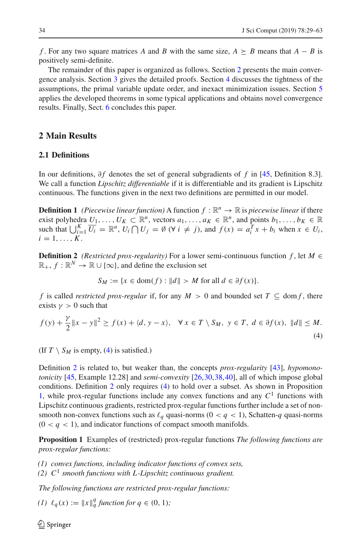*f*. For any two square matrices *A* and *B* with the same size,  $A \succeq B$  means that  $A - B$  is positively semi-definite.

The remainder of this paper is organized as follows. Section [2](#page-5-1) presents the main convergence analysis. Section [3](#page-9-1) gives the detailed proofs. Section [4](#page-18-0) discusses the tightness of the assumptions, the primal variable update order, and inexact minimization issues. Section [5](#page-21-0) applies the developed theorems in some typical applications and obtains novel convergence results. Finally, Sect. [6](#page-25-0) concludes this paper.

# <span id="page-5-1"></span>**2 Main Results**

## **2.1 Definitions**

In our definitions, ∂ *f* denotes the set of general subgradients of *f* in [\[45,](#page-33-11) Definition 8.3]. We call a function *Lipschitz differentiable* if it is differentiable and its gradient is Lipschitz continuous. The functions given in the next two definitions are permitted in our model.

<span id="page-5-3"></span>**Definition 1** *(Piecewise linear function)* A function  $f : \mathbb{R}^n \to \mathbb{R}$  is *piecewise linear* if there exist polyhedra  $U_1, \ldots, U_K \subset \mathbb{R}^n$ , vectors  $a_1, \ldots, a_K \in \mathbb{R}^n$ , and points  $b_1, \ldots, b_K \in \mathbb{R}$ such that  $\bigcup_{i=1}^{K} \overline{U_i} = \mathbb{R}^n$ ,  $U_i \cap U_j = \emptyset$  ( $\forall i \neq j$ ), and  $f(x) = a_i^T x + b_i$  when  $x \in U_i$ ,  $i=1,\ldots,K$ .

<span id="page-5-0"></span>**Definition 2** *(Restricted prox-regularity)* For a lower semi-continuous function  $f$ , let  $M \in$  $\mathbb{R}_+$ ,  $f : \mathbb{R}^N \to \mathbb{R} \cup \{\infty\}$ , and define the exclusion set

<span id="page-5-2"></span>
$$
S_M := \{ x \in \text{dom}(f) : ||d|| > M \text{ for all } d \in \partial f(x) \}.
$$

*f* is called *restricted prox-regular* if, for any  $M > 0$  and bounded set  $T \subseteq \text{dom } f$ , there exists  $\gamma > 0$  such that

$$
f(y) + \frac{\gamma}{2} \|x - y\|^2 \ge f(x) + \langle d, y - x \rangle, \quad \forall x \in T \setminus S_M, \ y \in T, \ d \in \partial f(x), \ \|d\| \le M.
$$
\n
$$
(4)
$$

(If  $T \setminus S_M$  is empty, [\(4\)](#page-5-2) is satisfied.)

Definition [2](#page-5-0) is related to, but weaker than, the concepts *prox-regularity* [\[43\]](#page-33-12), *hypomonotonicity* [\[45,](#page-33-11) Example 12.28] and *semi-convexity* [\[26](#page-32-15)[,30](#page-33-13),[38](#page-33-14)[,40\]](#page-33-15), all of which impose global conditions. Definition [2](#page-5-0) only requires [\(4\)](#page-5-2) to hold over a subset. As shown in Proposition [1,](#page-2-3) while prox-regular functions include any convex functions and any  $C<sup>1</sup>$  functions with Lipschitz continuous gradients, restricted prox-regular functions further include a set of nonsmooth non-convex functions such as  $\ell_q$  quasi-norms ( $0 < q < 1$ ), Schatten-q quasi-norms  $(0 < q < 1)$ , and indicator functions of compact smooth manifolds.

**Proposition 1** Examples of (restricted) prox-regular functions *The following functions are prox-regular functions:*

- *(1) convex functions, including indicator functions of convex sets,*
- *(2) C*<sup>1</sup> *smooth functions with L-Lipschitz continuous gradient.*

*The following functions are restricted prox-regular functions:*

*(1)*  $\ell_q(x) := ||x||_q^q$  function for  $q \in (0, 1)$ ;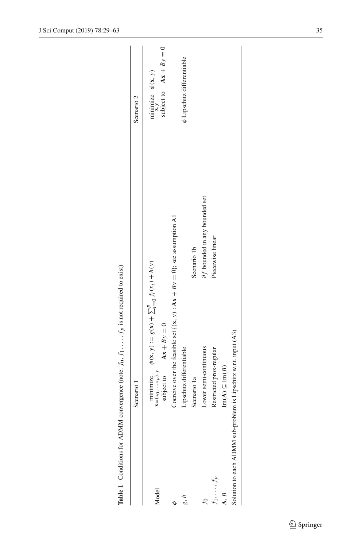|                | Scenario 1                                                                                                                                           |                                         | Scenario 2                                                 |
|----------------|------------------------------------------------------------------------------------------------------------------------------------------------------|-----------------------------------------|------------------------------------------------------------|
| Aodel          | minimize $\phi(x, y) := g(x) + \sum_{i=0}^{p} f_i(x_i) + h(y)$<br>x=(x <sub>0</sub> ,, <i>x</i> <sub>p</sub> ), <i>y</i><br>subject to $Ax + By = 0$ |                                         | subject to $Ax + By = 0$<br>minimize $\phi(\mathbf{x}, y)$ |
|                | Coercive over the feasible set $\{(x, y) : Ax + By = 0\}$ ; see assumption A1                                                                        |                                         |                                                            |
|                | Lipschitz differentiable                                                                                                                             |                                         | $\phi$ Lipschitz differentiable                            |
|                | Scenario 1a                                                                                                                                          | Scenario 1b                             |                                                            |
|                | Lower semi-continuous                                                                                                                                | $\partial f$ bounded in any bounded set |                                                            |
| $\ldots$       | Restricted prox-regular                                                                                                                              | Piecewise linear                        |                                                            |
| $\overline{B}$ | $\text{Im}(A) \subseteq \text{Im}(B)$                                                                                                                |                                         |                                                            |
|                | Solution to each ADMM sub-problem is Lipschitz w.r.t. input (A3)                                                                                     |                                         |                                                            |
|                |                                                                                                                                                      |                                         |                                                            |

<span id="page-6-0"></span>**Table 1** Conditions for ADMM convergence (note:  $f_0$ ,  $f_1$ , ...,  $f_p$  is not required to exist)  $f_p$  is not required to exist) *f*0, *f*1,..., **Table 1** Conditions for ADMM convergence (note: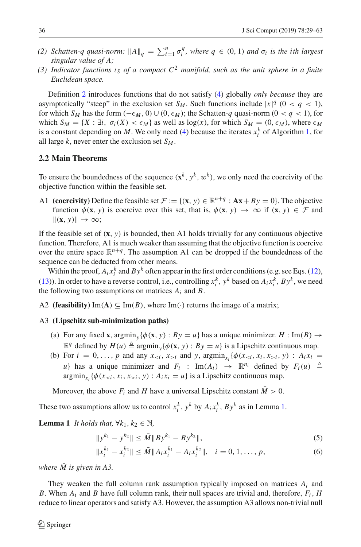- (2) Schatten-q quasi-norm:  $||A||_q = \sum_{i=1}^n \sigma_i^q$ , where  $q \in (0, 1)$  and  $\sigma_i$  is the ith largest *singular value of A;*
- *(3) Indicator functions* ι*<sup>S</sup> of a compact C*<sup>2</sup> *manifold, such as the unit sphere in a finite Euclidean space.*

Definition [2](#page-5-0) introduces functions that do not satisfy [\(4\)](#page-5-2) globally *only because* they are asymptotically "steep" in the exclusion set *S<sub>M</sub>*. Such functions include  $|x|^{q}$  (0 < *q* < 1), for which *S<sub>M</sub>* has the form  $(-\epsilon_M, 0) \cup (0, \epsilon_M)$ ; the Schatten-*q* quasi-norm  $(0 < q < 1)$ , for which  $S_M = \{X : \exists i, \sigma_i(X) < \epsilon_M\}$  as well as  $\log(x)$ , for which  $S_M = (0, \epsilon_M)$ , where  $\epsilon_M$ is a constant depending on *M*. We only need [\(4\)](#page-5-2) because the iterates  $x_i^k$  of Algorithm [1,](#page-2-0) for all large  $k$ , never enter the exclusion set  $S_M$ .

## **2.2 Main Theorems**

To ensure the boundedness of the sequence  $(\mathbf{x}^k, y^k, w^k)$ , we only need the coercivity of the objective function within the feasible set.

A1 **(coercivity)** Define the feasible set  $\mathcal{F} := \{(\mathbf{x}, y) \in \mathbb{R}^{n+q} : A\mathbf{x} + By = 0\}$ . The objective function  $\phi(\mathbf{x}, y)$  is coercive over this set, that is,  $\phi(\mathbf{x}, y) \to \infty$  if  $(\mathbf{x}, y) \in \mathcal{F}$  and  $\|(x, y)\| \to \infty;$ 

If the feasible set of  $(\mathbf{x}, y)$  is bounded, then A1 holds trivially for any continuous objective function. Therefore, A1 is much weaker than assuming that the objective function is coercive over the entire space  $\mathbb{R}^{n+q}$ . The assumption A1 can be dropped if the boundedness of the sequence can be deducted from other means.

Within the proof,  $A_i x_i^k$  and  $By^k$  often appear in the first order conditions (e.g. see Eqs. [\(12\)](#page-11-0), [\(13\)](#page-11-1)). In order to have a reverse control, i.e., controlling  $x_i^k$ ,  $y^k$  based on  $A_i x_i^k$ ,  $By^k$ , we need the following two assumptions on matrices  $A_i$  and  $B$ .

A2 **(feasibility)** Im(A)  $\subseteq$  Im(B), where Im( $\cdot$ ) returns the image of a matrix;

#### A3 **(Lipschitz sub-minimization paths)**

- (a) For any fixed **x**,  $\text{argmin}_{y} {\phi(\mathbf{x}, y) : B y = u}$  has a unique minimizer. *H* : Im(*B*)  $\rightarrow$  $\mathbb{R}^q$  defined by  $H(u) \triangleq \operatorname{argmin}_y {\phi(\mathbf{x}, y) : By = u}$  is a Lipschitz continuous map.
- (b) For  $i = 0, ..., p$  and any  $x_{< i}, x_{> i}$  and y,  $\operatorname{argmin}_{x_i} {\{\phi(x_{< i}, x_i, x_{> i}, y) : A_i x_i =\}}$ *u*} has a unique minimizer and  $F_i$  : Im( $A_i$ )  $\rightarrow \mathbb{R}^{n_i}$  defined by  $F_i(u) \triangleq$  $\argmin_{x_i} {\phi(x_{i}, y) : A_i x_i = u}$  is a Lipschitz continuous map.

Moreover, the above  $F_i$  and *H* have a universal Lipschitz constant  $\overline{M} > 0$ .

<span id="page-7-0"></span>These two assumptions allow us to control  $x_i^k$ ,  $y^k$  by  $A_i x_i^k$ ,  $By^k$  as in Lemma [1.](#page-7-0)

**Lemma 1** *It holds that,*  $\forall k_1, k_2 \in \mathbb{N}$ ,

<span id="page-7-1"></span>
$$
||y^{k_1} - y^{k_2}|| \le \bar{M} ||By^{k_1} - By^{k_2}||,
$$
\n(5)

$$
||x_i^{k_1} - x_i^{k_2}|| \le \bar{M} ||A_i x_i^{k_1} - A_i x_i^{k_2}||, \quad i = 0, 1, ..., p,
$$
\n(6)

*where*  $\overline{M}$  *is given in A3.* 

They weaken the full column rank assumption typically imposed on matrices *Ai* and *B*. When  $A_i$  and *B* have full column rank, their null spaces are trivial and, therefore,  $F_i$ , *H* reduce to linear operators and satisfy A3. However, the assumption A3 allows non-trivial null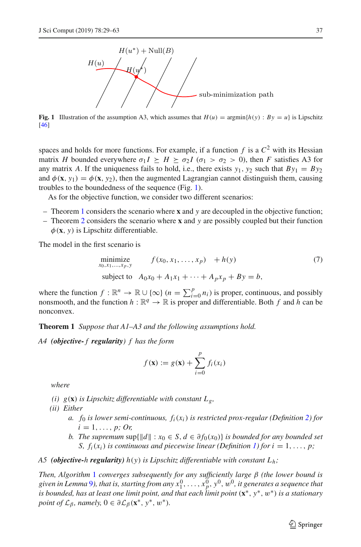

<span id="page-8-1"></span>**Fig. 1** Illustration of the assumption A3, which assumes that  $H(u) = \arg\min\{h(y) : By = u\}$  is Lipschitz [\[46\]](#page-33-16)

spaces and holds for more functions. For example, if a function  $f$  is a  $C^2$  with its Hessian matrix *H* bounded everywhere  $\sigma_1 I \succeq H \succeq \sigma_2 I$  ( $\sigma_1 > \sigma_2 > 0$ ), then *F* satisfies A3 for any matrix *A*. If the uniqueness fails to hold, i.e., there exists  $y_1$ ,  $y_2$  such that  $By_1 = By_2$ and  $\phi$ (**x**, *y*<sub>1</sub>) =  $\phi$ (**x**, *y*<sub>2</sub>), then the augmented Lagrangian cannot distinguish them, causing troubles to the boundedness of the sequence (Fig. [1\)](#page-8-1).

As for the objective function, we consider two different scenarios:

- Theorem [1](#page-8-0) considers the scenario where **x** and *y* are decoupled in the objective function;
- Theorem [2](#page-9-0) considers the scenario where **x** and *y* are possibly coupled but their function  $\phi$ (**x**, *y*) is Lipschitz differentiable.

The model in the first scenario is

minimize  
\n
$$
x_{0,x_1,...,x_p,y} \t f(x_0, x_1,...,x_p) + h(y)
$$
\nsubject to  $A_0x_0 + A_1x_1 + \cdots + A_px_p + By = b$ , (7)

where the function  $f : \mathbb{R}^n \to \mathbb{R} \cup \{\infty\}$  ( $n = \sum_{i=0}^p n_i$ ) is proper, continuous, and possibly nonsmooth, and the function  $h : \mathbb{R}^q \to \mathbb{R}$  is proper and differentiable. Both f and h can be nonconvex.

<span id="page-8-0"></span>**Theorem 1** *Suppose that A1–A3 and the following assumptions hold.*

*A4 (objective- f regularity) f has the form*

<span id="page-8-2"></span>
$$
f(\mathbf{x}) := g(\mathbf{x}) + \sum_{i=0}^p f_i(x_i)
$$

*where*

- *(i)*  $g(\mathbf{x})$  *is Lipschitz differentiable with constant*  $L_g$ ,
- *(ii) Either*
	- *a.*  $f_0$  *is lower semi-continuous,*  $f_i(x_i)$  *is restricted prox-regular (Definition [2\)](#page-5-0) for*  $i = 1, \ldots, p$ ; Or,
	- *b.* The supremum sup $\{\|d\| : x_0 \in S, d \in \partial f_0(x_0)\}$  is bounded for any bounded set *S,*  $f_i(x_i)$  *is continuous and piecewise linear (Definition [1\)](#page-5-3) for*  $i = 1, \ldots, p$ *;*

## *A5 (objective-h regularity) h*(*y*) *is Lipschitz differentiable with constant Lh;*

*Then, Algorithm* [1](#page-2-0) *converges subsequently for any sufficiently large* β *(the lower bound is* given in Lemma [9](#page-15-0)), that is, starting from any  $x^0_1,\ldots,x^0_p,$   $y^0,w^0$ , it generates a sequence that *is bounded, has at least one limit point, and that each limit point* (**x**∗, *y*∗, w∗) *is a stationary point of*  $\mathcal{L}_{\beta}$ *, namely,*  $0 \in \partial \mathcal{L}_{\beta}(\mathbf{x}^*, y^*, w^*).$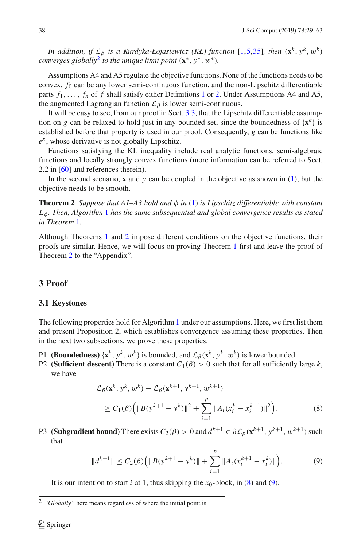*In addition, if*  $\mathcal{L}_{\beta}$  *is a Kurdyka-Łojasiewicz (KŁ) function* [\[1](#page-32-14)[,5](#page-32-16)[,35\]](#page-33-17)*, then* ( $\mathbf{x}^k$ ,  $y^k$ ,  $w^k$ ) *converges globally*<sup>[2](#page-9-2)</sup> *to the unique limit point*  $(\mathbf{x}^*, y^*, w^*)$ *.* 

Assumptions A4 and A5 regulate the objective functions. None of the functions needs to be convex. *f*<sup>0</sup> can be any lower semi-continuous function, and the non-Lipschitz differentiable parts  $f_1, \ldots, f_n$  $f_1, \ldots, f_n$  $f_1, \ldots, f_n$  of  $f$  shall satisfy either Definitions 1 or [2.](#page-5-0) Under Assumptions A4 and A5, the augmented Lagrangian function  $\mathcal{L}_{\beta}$  is lower semi-continuous.

It will be easy to see, from our proof in Sect. [3.3,](#page-11-2) that the Lipschitz differentiable assumption on *g* can be relaxed to hold just in any bounded set, since the boundedness of  ${x^k}$  is established before that property is used in our proof. Consequently, *g* can be functions like *e<sup>x</sup>* , whose derivative is not globally Lipschitz.

Functions satisfying the KŁ inequality include real analytic functions, semi-algebraic functions and locally strongly convex functions (more information can be referred to Sect. 2.2 in [\[60\]](#page-34-7) and references therein).

<span id="page-9-0"></span>In the second scenario, **x** and *y* can be coupled in the objective as shown in [\(1\)](#page-1-0), but the objective needs to be smooth.

**Theorem 2** *Suppose that A1–A3 hold and*  $\phi$  *in* [\(1\)](#page-1-0) *is Lipschitz differentiable with constant L*φ*. Then, Algorithm* [1](#page-2-0) *has the same subsequential and global convergence results as stated in Theorem* [1](#page-8-0)*.*

Although Theorems [1](#page-8-0) and [2](#page-9-0) impose different conditions on the objective functions, their proofs are similar. Hence, we will focus on proving Theorem [1](#page-8-0) first and leave the proof of Theorem [2](#page-9-0) to the "Appendix".

## <span id="page-9-1"></span>**3 Proof**

#### **3.1 Keystones**

The following properties hold for Algorithm [1](#page-2-0) under our assumptions. Here, we first list them and present Proposition 2, which establishes convergence assuming these properties. Then in the next two subsections, we prove these properties.

- P1 **(Boundedness)** { $\mathbf{x}^k$ ,  $y^k$ ,  $w^k$ } is bounded, and  $\mathcal{L}_{\beta}(\mathbf{x}^k, y^k, w^k)$  is lower bounded.
- P2 **(Sufficient descent)** There is a constant  $C_1(\beta) > 0$  such that for all sufficiently large k, we have

<span id="page-9-3"></span>
$$
\mathcal{L}_{\beta}(\mathbf{x}^{k}, y^{k}, w^{k}) - \mathcal{L}_{\beta}(\mathbf{x}^{k+1}, y^{k+1}, w^{k+1})
$$
\n
$$
\geq C_{1}(\beta) \Big( \|B(y^{k+1} - y^{k})\|^{2} + \sum_{i=1}^{p} \|A_{i}(x_{i}^{k} - x_{i}^{k+1})\|^{2} \Big). \tag{8}
$$

P3 **(Subgradient bound)** There exists  $C_2(\beta) > 0$  and  $d^{k+1} \in \partial \mathcal{L}_{\beta}(\mathbf{x}^{k+1}, y^{k+1}, w^{k+1})$  such that

<span id="page-9-4"></span>
$$
||d^{k+1}|| \leq C_2(\beta) \Big( ||B(y^{k+1} - y^k)|| + \sum_{i=1}^p ||A_i(x_i^{k+1} - x_i^k)|| \Big).
$$
 (9)

It is our intention to start  $i$  at 1, thus skipping the  $x_0$ -block, in [\(8\)](#page-9-3) and [\(9\)](#page-9-4).

<span id="page-9-2"></span><sup>2</sup> *"Globally"* here means regardless of where the initial point is.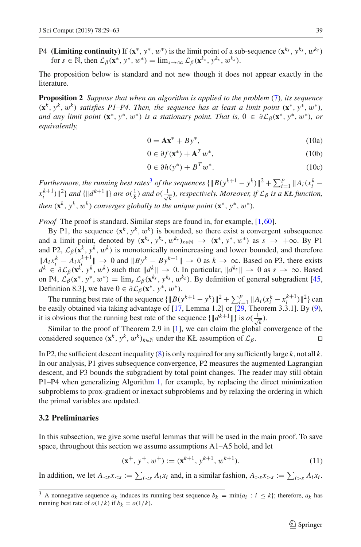P4 **(Limiting continuity)** If  $(\mathbf{x}^*, y^*, w^*)$  is the limit point of a sub-sequence  $(\mathbf{x}^{k_s}, y^{k_s}, w^{k_s})$ for  $s \in \mathbb{N}$ , then  $\mathcal{L}_{\beta}(\mathbf{x}^*, y^*, w^*) = \lim_{s \to \infty} \mathcal{L}_{\beta}(\mathbf{x}^{\hat{k_s}}, y^{\hat{k_s}}, w^{\hat{k_s}})$ .

<span id="page-10-0"></span>The proposition below is standard and not new though it does not appear exactly in the literature.

**Proposition 2** *Suppose that when an algorithm is applied to the problem* [\(7\)](#page-8-2)*, its sequence*  $(\mathbf{x}^k, \mathbf{y}^k, \mathbf{w}^k)$  *satisfies P1–P4. Then, the sequence has at least a limit point*  $(\mathbf{x}^*, \mathbf{y}^*, \mathbf{w}^*)$ *, and any limit point*  $(\mathbf{x}^*, y^*, w^*)$  *is a stationary point. That is,*  $0 \in \partial \mathcal{L}_{\beta}(\mathbf{x}^*, y^*, w^*)$ *, or equivalently,*

$$
0 = \mathbf{A}\mathbf{x}^* + B\mathbf{y}^*,\tag{10a}
$$

$$
0 \in \partial f(\mathbf{x}^*) + \mathbf{A}^T w^*, \tag{10b}
$$

$$
0 \in \partial h(y^*) + B^T w^*.
$$
 (10c)

*Furthermore, the running best rates<sup>[3](#page-10-1)</sup> of the sequences*  $\{\|B(y^{k+1} - y^k)\|^2 + \sum_{i=1}^p \|A_i(x_i^k - y^k)\|^2\}$  $\{x_i^{k+1})\}^2\}$  and  $\{\|d^{k+1}\|\}$  are  $o(\frac{1}{k})$  and  $o(\frac{1}{\sqrt{k}})$ *k* )*, respectively. Moreover, if L*<sup>β</sup> *is a KŁ function, then*  $(\mathbf{x}^k, y^k, w^k)$  *converges globally to the unique point*  $(\mathbf{x}^*, y^*, w^*)$ *.* 

*Proof* The proof is standard. Similar steps are found in, for example, [\[1,](#page-32-14)[60](#page-34-7)].

By P1, the sequence  $(\mathbf{x}^k, y^k, w^k)$  is bounded, so there exist a convergent subsequence and a limit point, denoted by  $(\mathbf{x}^{k_s}, y^{k_s}, w^{k_s})_{s \in \mathbb{N}} \rightarrow (\mathbf{x}^*, y^*, w^*)$  as  $s \rightarrow +\infty$ . By P1 and P2,  $\mathcal{L}_{\beta}(\mathbf{x}^k, y^k, w^k)$  is monotonically nonincreasing and lower bounded, and therefore  $\|A_i x_i^k - A_i x_i^{k+1}\|$  → 0 and  $\|By^k - By^{k+1}\|$  → 0 as  $k \to \infty$ . Based on P3, there exists  $d^k \in \partial \mathcal{L}_{\beta}(\mathbf{x}^k, y^k, w^k)$  such that  $||d^k|| \to 0$ . In particular,  $||d^{k_s}|| \to 0$  as  $s \to \infty$ . Based on P4,  $\mathcal{L}_{\beta}(\mathbf{x}^*, y^*, w^*) = \lim_{s \to \infty} \mathcal{L}_{\beta}(\mathbf{x}^{k_s}, y^{k_s}, w^{k_s})$ . By definition of general subgradient [\[45,](#page-33-11) Definition 8.3], we have  $0 \in \partial \mathcal{L}_{\beta}(\mathbf{x}^*, y^*, w^*).$ 

The running best rate of the sequence  ${\|B(y^{k+1} - y^k)\|^2 + \sum_{i=1}^p \|A_i(x_i^k - x_i^{k+1})\|^2}$  can relate the sequence of  $[17, 1, \dots]$  and  $[20, 21]$  and  $[20, 21]$  and  $[20, 21]$ be easily obtained via taking advantage of [\[17,](#page-32-17) Lemma 1.2] or [\[29,](#page-33-18) Theorem 3.3.1]. By [\(9\)](#page-9-4), it is obvious that the running best rate of the sequence  $\{\Vert d^{k+1} \Vert\}$  is  $o(\frac{1}{\sqrt{n}})$ *k* ).

Similar to the proof of Theorem 2.9 in [\[1\]](#page-32-14), we can claim the global convergence of the considered sequence  $(\mathbf{x}^k, y^k, w^k)_{k \in \mathbb{N}}$  under the KŁ assumption of  $\mathcal{L}_{\beta}$ .

In P2, the sufficient descent inequality [\(8\)](#page-9-3) is only required for any sufficiently large *k*, not all *k*. In our analysis, P1 gives subsequence convergence, P2 measures the augmented Lagrangian descent, and P3 bounds the subgradient by total point changes. The reader may still obtain P1–P4 when generalizing Algorithm [1,](#page-2-0) for example, by replacing the direct minimization subproblems to prox-gradient or inexact subproblems and by relaxing the ordering in which the primal variables are updated.

#### **3.2 Preliminaries**

In this subsection, we give some useful lemmas that will be used in the main proof. To save space, throughout this section we assume assumptions A1–A5 hold, and let

$$
(\mathbf{x}^+, y^+, w^+) := (\mathbf{x}^{k+1}, y^{k+1}, w^{k+1}).
$$
\n(11)

<span id="page-10-2"></span>In addition, we let  $A_{ and, in a similar fashion,  $A_{>s} x_{>s} := \sum_{i > s} A_i x_i$ .$ 

<span id="page-10-1"></span> $\overline{3}$  A nonnegative sequence  $a_k$  induces its running best sequence  $b_k = \min\{a_i : i \leq k\}$ ; therefore,  $a_k$  has running best rate of  $o(1/k)$  if  $b_k = o(1/k)$ .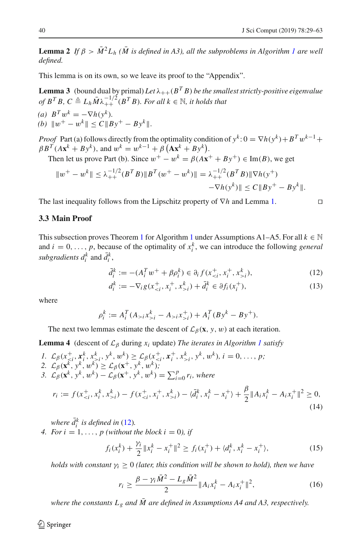**Lemma 2** *If*  $\beta > \overline{M}^2 L_h$  ( $\overline{M}$  is defined in A3), all the subproblems in Algorithm [1](#page-2-0) are well *defined.*

<span id="page-11-5"></span>This lemma is on its own, so we leave its proof to the "Appendix".

.

**Lemma 3** (bound dual by primal) Let  $\lambda_{++}(B^T B)$  be the smallest strictly-positive eigenvalue *of*  $B^T B$ ,  $C \triangleq L_h \overline{M} \lambda_{++}^{-1/2} (B^T B)$ *. For all*  $k \in \mathbb{N}$ *, it holds that*  $(a)$   $B^T w^k = -\nabla h(v^k)$ .

(b) 
$$
||w^+ - w^k|| \le C ||By^+ - By^k||
$$

*Proof* Part (a) follows directly from the optimality condition of  $y^k$ :  $0 = \nabla h(y^k) + B^T w^{k-1} +$  $\beta B^T (A \mathbf{x}^k + B \mathbf{y}^k)$ , and  $w^k = w^{k-1} + \beta (A \mathbf{x}^k + B \mathbf{y}^k)$ .

Then let us prove Part (b). Since  $w^+ - w^k = \beta(Ax^+ + By^+) \in \text{Im}(B)$ , we get

$$
||w^+ - w^k|| \leq \lambda_{++}^{-1/2} (B^T B) ||B^T (w^+ - w^k)|| = \lambda_{++}^{-1/2} (B^T B) ||\nabla h(y^+) - \nabla h(y^k)|| \leq C ||By^+ - By^k||.
$$

The last inequality follows from the Lipschitz property of ∇*h* and Lemma [1.](#page-7-0)

## <span id="page-11-2"></span>**3.3 Main Proof**

This subsection proves Theorem [1](#page-2-0) for Algorithm 1 under Assumptions A1–A5. For all  $k \in \mathbb{N}$ and  $i = 0, \ldots, p$ , because of the optimality of  $x_i^k$ , we can introduce the following *general subgradients*  $d_i^k$  and  $\bar{d}_i^k$ ,

<span id="page-11-0"></span>
$$
\bar{d}_i^k := -(A_i^T w^+ + \beta \rho_i^k) \in \partial_i f(x_{i}^k), \tag{12}
$$

<span id="page-11-4"></span><span id="page-11-1"></span>
$$
d_i^k := -\nabla_i g(x_{\leq i}^+, x_i^+, x_{>i}^k) + \bar{d}_i^k \in \partial f_i(x_i^+),
$$
\n(13)

where

$$
\rho_i^k := A_i^T (A_{>i} x_{>i}^k - A_{>i} x_{>i}^+) + A_i^T (By^k - By^+).
$$

The next two lemmas estimate the descent of  $\mathcal{L}_{\beta}(\mathbf{x}, y, w)$  at each iteration.

**Lemma 4** (descent of  $\mathcal{L}_{\beta}$  during  $x_i$  update) *The iterates in Algorithm [1](#page-2-0) satisfy* 

- *I.*  $\mathcal{L}_{\beta}(x_{\leq i}^+, x_i^k, x_{\geq i}^k, y^k, w^k) \geq \mathcal{L}_{\beta}(x_{\leq i}^+, x_i^+, x_{\geq i}^k, y^k, w^k), i = 0, \ldots, p;$
- 2.  $\mathcal{L}_{\beta}(\mathbf{x}^k, y^k, w^k) \geq \mathcal{L}_{\beta}(\mathbf{x}^+, y^k, w^k);$

3. 
$$
\mathcal{L}_{\beta}(\mathbf{x}^k, \mathbf{y}^k, w^k) - \mathcal{L}_{\beta}(\mathbf{x}^+, \mathbf{y}^k, w^k) = \sum_{i=0}^p r_i
$$
, where

$$
r_i := f(x_{i}^k) - f(x_{i}^k) - \langle \bar{d}_i^k, x_i^k - x_i^+ \rangle + \frac{\beta}{2} \| A_i x_i^k - A_i x_i^+ \|^2 \ge 0,
$$
\n(14)

*where*  $\bar{d}_i^k$  *is defined in* [\(12\)](#page-11-0).

*4. For i* = 1, ..., *p* (without the block  $i = 0$ ), if

<span id="page-11-3"></span>
$$
f_i(x_i^k) + \frac{\gamma_i}{2} \|x_i^k - x_i^+\|^2 \ge f_i(x_i^+) + \langle d_i^k, x_i^k - x_i^+ \rangle,\tag{15}
$$

*holds with constant*  $\gamma_i \geq 0$  *(later, this condition will be shown to hold), then we have* 

<span id="page-11-7"></span><span id="page-11-6"></span>
$$
r_i \ge \frac{\beta - \gamma_i \bar{M}^2 - L_g \bar{M}^2}{2} \|A_i x_i^k - A_i x_i^+\|^2,\tag{16}
$$

*where the constants*  $L_g$  *and*  $\overline{M}$  *are defined in Assumptions A4 and A3, respectively.*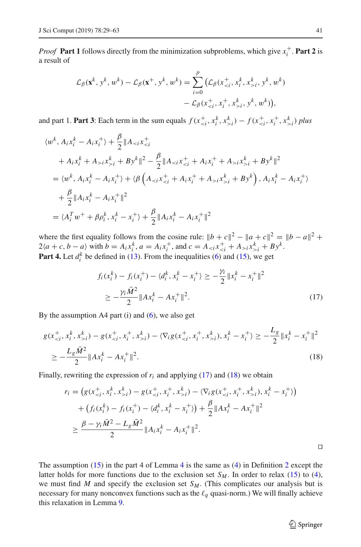*Proof* Part 1 follows directly from the minimization subproblems, which give  $x_i^+$ . Part 2 is a result of

$$
\mathcal{L}_{\beta}(\mathbf{x}^{k}, y^{k}, w^{k}) - \mathcal{L}_{\beta}(\mathbf{x}^{+}, y^{k}, w^{k}) = \sum_{i=0}^{p} (\mathcal{L}_{\beta}(x^{+}_{i}, y^{k}, w^{k}) - \mathcal{L}_{\beta}(x^{+}_{i}, y^{k}, w^{k})),
$$

and part 1. **Part 3**: Each term in the sum equals  $f(x_{\leq i}^+, x_i^k, x_{\geq i}^k) - f(x_{\leq i}^+, x_i^+, x_{\geq i}^k)$  plus

$$
\langle w^k, A_i x_i^k - A_i x_i^+ \rangle + \frac{\beta}{2} \| A_{< i} x_{< i}^+ + A_i x_i^k + A_{> i} x_{> i}^k + B y^k \| ^2 - \frac{\beta}{2} \| A_{< i} x_{< i}^+ + A_i x_i^+ + A_{> i} x_{> i}^k + B y^k \|^2 = \langle w^k, A_i x_i^k - A_i x_i^+ \rangle + \langle \beta \left( A_{< i} x_{< i}^+ + A_i x_i^+ + A_{> i} x_{> i}^k + B y^k \right), A_i x_i^k - A_i x_i^+ \rangle + \frac{\beta}{2} \| A_i x_i^k - A_i x_i^+ \|^2 = \langle A_i^T w^+ + \beta \rho_i^k, x_i^k - x_i^+ \rangle + \frac{\beta}{2} \| A_i x_i^k - A_i x_i^+ \|^2
$$

where the first equality follows from the cosine rule:  $||b + c||^2 - ||a + c||^2 = ||b - a||^2 +$  $2(a + c, b - a)$  with  $b = A_i x_i^k$ ,  $a = A_i x_i^+$ , and  $c = A_{\le i} x_{\le i}^+ + A_{\ge i} x_{\ge i}^k + B y^k$ . **Part 4.** Let  $d_i^k$  be defined in [\(13\)](#page-11-1). From the inequalities [\(6\)](#page-7-1) and [\(15\)](#page-11-3), we get

$$
f_i(x_i^k) - f_i(x_i^+) - \langle d_i^k, x_i^k - x_i^+ \rangle \ge -\frac{\gamma_i}{2} \| x_i^k - x_i^+ \|^2
$$
  
 
$$
\ge -\frac{\gamma_i \bar{M}^2}{2} \| A x_i^k - A x_i^+ \|^2.
$$
 (17)

<span id="page-12-2"></span><span id="page-12-1"></span>*Lg*

By the assumption  $A4$  part (i) and [\(6\)](#page-7-1), we also get

$$
g(x_{i}^k) - g(x_{i}^k) - \langle \nabla_i g(x_{i}^k), x_{i}^k - x_{i}^+ \rangle \ge -\frac{L_g}{2} \|x_{i}^k - x_{i}^+\|^2
$$
  
 
$$
\ge -\frac{L_g \bar{M}^2}{2} \|Ax_{i}^k - Ax_{i}^+\|^2.
$$
 (18)

Finally, rewriting the expression of  $r_i$  and applying [\(17\)](#page-12-1) and [\(18\)](#page-12-2) we obtain

$$
r_i = (g(x_{i}^+, x_i^k, x_{>i}^k) - g(x_{i}^+, x_i^+, x_{>i}^k) - \langle \nabla_i g(x_{i}^+, x_i^+, x_{>i}^k), x_i^k - x_i^+ \rangle)
$$
  
+ 
$$
(f_i(x_i^k) - f_i(x_i^+) - \langle d_i^k, x_i^k - x_i^+ \rangle) + \frac{\beta}{2} ||Ax_i^k - Ax_i^+||^2
$$
  

$$
\geq \frac{\beta - \gamma_i \bar{M}^2 - L_g \bar{M}^2}{2} ||A_i x_i^k - A_i x_i^+||^2.
$$

<span id="page-12-0"></span>The assumption  $(15)$  in the part [4](#page-11-4) of Lemma 4 is the same as  $(4)$  in Definition [2](#page-5-0) except the latter holds for more functions due to the exclusion set  $S_M$ . In order to relax [\(15\)](#page-11-3) to [\(4\)](#page-5-2), we must find *M* and specify the exclusion set  $S_M$ . (This complicates our analysis but is necessary for many nonconvex functions such as the  $\ell_q$  quasi-norm.) We will finally achieve this relaxation in Lemma [9.](#page-15-0)

 $\hat{\mathfrak{D}}$  Springer

 $\Box$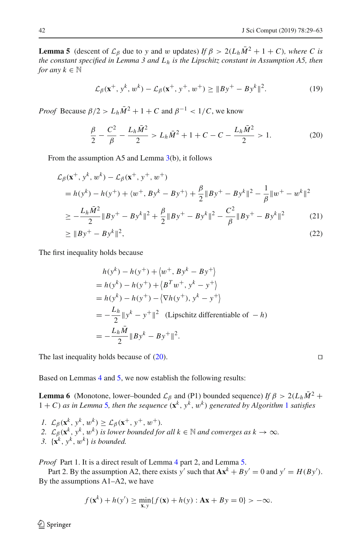**Lemma 5** (descent of  $\mathcal{L}_{\beta}$  due to *y* and w updates) *If*  $\beta > 2(L_h\overline{M}^2 + 1 + C)$ *, where C is the constant specified in Lemma 3 and Lh is the Lipschitz constant in Assumption A5, then for any*  $k \in \mathbb{N}$ 

$$
\mathcal{L}_{\beta}(\mathbf{x}^+, \mathbf{y}^k, w^k) - \mathcal{L}_{\beta}(\mathbf{x}^+, \mathbf{y}^+, w^+) \ge ||By^+ - By^k||^2. \tag{19}
$$

*Proof* Because  $\beta/2 > L_h \overline{M}^2 + 1 + C$  and  $\beta^{-1} < 1/C$ , we know

<span id="page-13-0"></span>
$$
\frac{\beta}{2} - \frac{C^2}{\beta} - \frac{L_h \bar{M}^2}{2} > L_h \bar{M}^2 + 1 + C - C - \frac{L_h \bar{M}^2}{2} > 1.
$$
 (20)

From the assumption A5 and Lemma [3\(](#page-11-5)b), it follows

$$
\mathcal{L}_{\beta}(\mathbf{x}^+, y^k, w^k) - \mathcal{L}_{\beta}(\mathbf{x}^+, y^+, w^+)
$$
  
=  $h(y^k) - h(y^+) + \langle w^+, By^k - By^+) + \frac{\beta}{2} ||By^+ - By^k||^2 - \frac{1}{\beta} ||w^+ - w^k||^2$   

$$
\ge -\frac{L_h \bar{M}^2}{2} ||By^+ - By^k||^2 + \frac{\beta}{2} ||By^+ - By^k||^2 - \frac{C^2}{\beta} ||By^+ - By^k||^2
$$
 (21)

$$
\geq \|By^{+} - By^{k}\|^{2},\tag{22}
$$

The first inequality holds because

$$
h(y^k) - h(y^+) + \langle w^+, By^k - By^+ \rangle
$$
  
=  $h(y^k) - h(y^+) + \langle B^T w^+, y^k - y^+ \rangle$   
=  $h(y^k) - h(y^+) - \langle \nabla h(y^+), y^k - y^+ \rangle$   
=  $-\frac{L_h}{2} ||y^k - y^+||^2$  (Lipschitz differentiable of  $-h$ )  
=  $-\frac{L_h \overline{M}}{2} ||By^k - By^+||^2$ .

The last inequality holds because of  $(20)$ .

Based on Lemmas [4](#page-11-4) and [5,](#page-12-0) we now establish the following results:

**Lemma 6** (Monotone, lower–bounded  $\mathcal{L}_{\beta}$  and (P1) bounded sequence) *If*  $\beta > 2(L_h\overline{M})^2 +$  $1 + C$  $1 + C$ ) *as in Lemma* [5](#page-12-0)*, then the sequence*  $(\mathbf{x}^k, y^k, w^k)$  *generated by Algorithm* 1 *satisfies* 

*1.*  $\mathcal{L}_{\beta}(\mathbf{x}^k, y^k, w^k) \geq \mathcal{L}_{\beta}(\mathbf{x}^+, y^+, w^+).$ 2.  $\mathcal{L}_{\beta}(\mathbf{x}^k, y^k, w^k)$  *is lower bounded for all*  $k \in \mathbb{N}$  *and converges as*  $k \to \infty$ *. 3.*  $\{x^k, y^k, w^k\}$  *is bounded.* 

*Proof* Part 1. It is a direct result of Lemma [4](#page-11-4) part 2, and Lemma [5.](#page-12-0)

Part 2. By the assumption A2, there exists *y'* such that  $Ax^k + By' = 0$  and  $y' = H(By')$ . By the assumptions A1–A2, we have

$$
f(\mathbf{x}^k) + h(y') \ge \min_{\mathbf{x}, y} \{ f(\mathbf{x}) + h(y) : \mathbf{A}\mathbf{x} + By = 0 \} > -\infty.
$$

 $\circledcirc$  Springer

<span id="page-13-1"></span>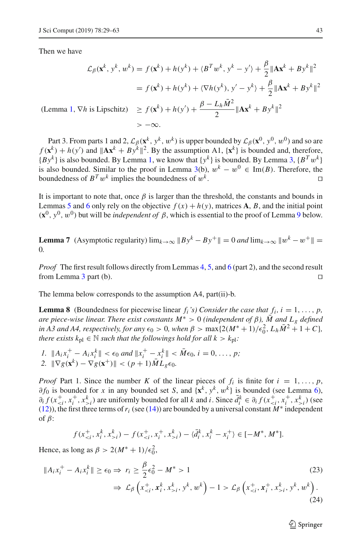Then we have

$$
\mathcal{L}_{\beta}(\mathbf{x}^{k}, y^{k}, w^{k}) = f(\mathbf{x}^{k}) + h(y^{k}) + \langle B^{T} w^{k}, y^{k} - y^{\prime} \rangle + \frac{\beta}{2} \|\mathbf{A}\mathbf{x}^{k} + By^{k}\|^{2}
$$

$$
= f(\mathbf{x}^{k}) + h(y^{k}) + \langle \nabla h(y^{k}), y^{\prime} - y^{k} \rangle + \frac{\beta}{2} \|\mathbf{A}\mathbf{x}^{k} + By^{k}\|^{2}
$$
  
(Lemma 1,  $\nabla h$  is Lipschitz)  $\geq f(\mathbf{x}^{k}) + h(y^{\prime}) + \frac{\beta - L_{h} \bar{M}^{2}}{2} \|\mathbf{A}\mathbf{x}^{k} + By^{k}\|^{2}$ 
$$
> -\infty.
$$

Part 3. From parts 1 and 2,  $\mathcal{L}_{\beta}(\mathbf{x}^k, y^k, w^k)$  is upper bounded by  $\mathcal{L}_{\beta}(\mathbf{x}^0, y^0, w^0)$  and so are  $f(\mathbf{x}^k) + h(y')$  and  $\|\mathbf{A}\mathbf{x}^k + By^k\|^2$ . By the assumption A1,  $\{\mathbf{x}^k\}$  is bounded and, therefore,  ${By^k}$  is also bounded. By Lemma [1,](#page-7-0) we know that  ${y^k}$  is bounded. By Lemma [3,](#page-11-5)  ${B^T w^k}$ is also bounded. Similar to the proof in Lemma [3\(](#page-11-5)b),  $w^k - w^0 \text{ } \in \text{ Im}(B)$ . Therefore, the boundedness of  $B^T w^k$  implies the boundedness of  $w^k$ . □ boundedness of  $B^T w^k$  implies the boundedness of  $w^k$ .

It is important to note that, once  $\beta$  is larger than the threshold, the constants and bounds in Lemmas [5](#page-12-0) and [6](#page-13-1) only rely on the objective  $f(x) + h(y)$ , matrices A, B, and the initial point  $({\bf x}^0, y^0, w^0)$  but will be *independent of*  $\beta$ , which is essential to the proof of Lemma [9](#page-15-0) below.

<span id="page-14-0"></span>**Lemma 7** (Asymptotic regularity)  $\lim_{k\to\infty} ||By^k - By^+|| = 0$  and  $\lim_{k\to\infty} ||w^k - w^+|| =$ 0*.*

*Proof* The first result follows directly from Lemmas [4,](#page-11-4) [5,](#page-12-0) and [6](#page-13-1) (part 2), and the second result from Lemma [3](#page-11-5) part (b).

<span id="page-14-1"></span>The lemma below corresponds to the assumption A4, part(ii)-b.

**Lemma 8** (Boundedness for piecewise linear  $f_i$ 's) Consider the case that  $f_i$ ,  $i = 1, \ldots, p$ , *are piece-wise linear. There exist constants*  $M^* > 0$  *(independent of*  $\beta$ *),*  $\overline{M}$  *and*  $L_g$  *defined in A3 and A4, respectively, for any*  $\epsilon_0 > 0$ *, when*  $\beta > \max\{2(M^*+1)/\epsilon_0^2, L_h\overline{M}^2 + 1 + C\}$ , *there exists*  $k_{\text{pl}} \in \mathbb{N}$  *such that the followings hold for all*  $k > k_{\text{pl}}$ *:* 

*I.*  $||A_i x_i^+ - A_i x_i^k|| < \epsilon_0$  and  $||x_i^+ - x_i^k|| < \bar{M} \epsilon_0$ ,  $i = 0, ..., p$ ; 2.  $\|\nabla g(\mathbf{x}^k) - \nabla g(\mathbf{x}^+) \| < (p+1)\bar{M}L_g\epsilon_0.$ 

*Proof* Part 1. Since the number *K* of the linear pieces of  $f_i$  is finite for  $i = 1, \ldots, p$ ,  $\partial f_0$  is bounded for *x* in any bounded set *S*, and  $\{x^k, y^k, w^k\}$  is bounded (see Lemma [6\)](#page-13-1),  $\partial_i f(x_{\leq i}^+, x_i^+, x_{\geq i}^k)$  are uniformly bounded for all k and i. Since  $\bar{d}_i^k \in \partial_i f(x_{\leq i}^+, x_i^+, x_{\geq i}^k)$  (see [\(12\)](#page-11-0)), the first three terms of  $r_i$  (see [\(14\)](#page-11-6)) are bounded by a universal constant  $M^*$  independent of  $\beta$ :

$$
f(x_{i}^k) - f(x_{i}^k) - \langle \bar{d}_i^k, x_i^k - x_i^+ \rangle \in [-M^*, M^*].
$$

Hence, as long as  $\beta > 2(M^* + 1)/\epsilon_0^2$ ,

$$
||A_{i}x_{i}^{+} - A_{i}x_{i}^{k}|| \ge \epsilon_{0} \Rightarrow r_{i} \ge \frac{\beta}{2}\epsilon_{0}^{2} - M^{*} > 1
$$
\n
$$
\Rightarrow \mathcal{L}_{\beta}\left(x_{i}^{k}, y^{k}, w^{k}\right) - 1 > \mathcal{L}_{\beta}\left(x_{i}^{k}, y^{k}, w^{k}\right).
$$
\n(23)

 $\mathcal{L}$  Springer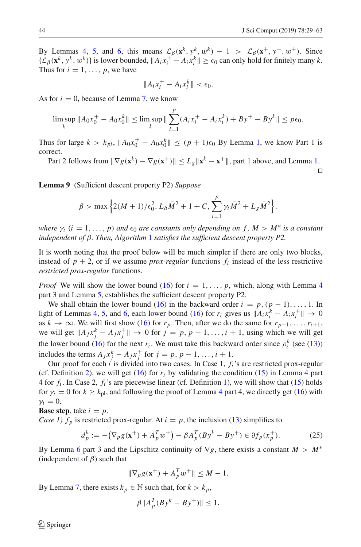By Lemmas [4,](#page-11-4) [5,](#page-12-0) and [6,](#page-13-1) this means  $\mathcal{L}_{\beta}(\mathbf{x}^k, y^k, w^k) - 1 > \mathcal{L}_{\beta}(\mathbf{x}^+, y^+, w^+)$ . Since  ${L<sub>β</sub>(**x**<sup>k</sup>, **y**<sup>k</sup>, **w**<sup>k</sup>)}$  is lower bounded,  $||A<sub>i</sub>x<sub>i</sub><sup>+</sup> − A<sub>i</sub>x<sub>i</sub><sup>k</sup>|| ≥ ε<sub>0</sub>$  can only hold for finitely many *k*. Thus for  $i = 1, \ldots, p$ , we have

$$
||A_ix_i^+ - A_ix_i^k|| < \epsilon_0.
$$

As for  $i = 0$ , because of Lemma [7,](#page-14-0) we know

$$
\limsup_{k} \|A_0 x_0^+ - A_0 x_0^k\| \le \limsup_{k} \|\sum_{i=1}^p (A_i x_i^+ - A_i x_i^k) + By^+ - By^k\| \le p\epsilon_0.
$$

Thus for large  $k > k_{pl}$ ,  $||A_0x_0^+ - A_0x_0^k|| \le (p + 1)\epsilon_0$  By Lemma [1,](#page-7-0) we know Part 1 is correct.

Part 2 follows from  $\|\nabla g(\mathbf{x}^k) - \nabla g(\mathbf{x}^+) \| \le L_g \|\mathbf{x}^k - \mathbf{x}^+\|$ , part 1 above, and Lemma [1.](#page-7-0)  $\Box$ 

<span id="page-15-0"></span>**Lemma 9** (Sufficient descent property P2) *Suppose*

$$
\beta > \max \left\{ 2(M+1)/\epsilon_0^2, L_h \bar{M}^2 + 1 + C, \sum_{i=1}^p \gamma_i \bar{M}^2 + L_g \bar{M}^2 \right\},\,
$$

*where*  $\gamma_i$  ( $i = 1, ..., p$ ) *and*  $\epsilon_0$  *are constants only depending on*  $f$ ,  $M > M^*$  *is a constant independent of* β*. Then, Algorithm* [1](#page-2-0) *satisfies the sufficient descent property P2.*

It is worth noting that the proof below will be much simpler if there are only two blocks, instead of  $p + 2$ , or if we assume *prox-regular* functions  $f_i$  instead of the less restrictive *restricted prox-regular* functions.

*Proof* We will show the lower bound [\(16\)](#page-11-7) for  $i = 1, \ldots, p$ , which, along with Lemma [4](#page-11-4) part 3 and Lemma [5,](#page-12-0) establishes the sufficient descent property P2.

We shall obtain the lower bound [\(16\)](#page-11-7) in the backward order  $i = p$ ,  $(p - 1)$ , ..., 1. In light of Lemmas [4,](#page-11-4) [5,](#page-12-0) and [6,](#page-13-1) each lower bound [\(16\)](#page-11-7) for  $r_i$  gives us  $||A_i x_i^k - A_i x_i^+|| \to 0$ as  $k \to \infty$ . We will first show [\(16\)](#page-11-7) for  $r_p$ . Then, after we do the same for  $r_{p-1}, \ldots, r_{i+1}$ , we will get  $||A_j x_j^k - A_j x_j^+|| \to 0$  for  $j = p, p - 1, ..., i + 1$ , using which we will get the lower bound [\(16\)](#page-11-7) for the next  $r_i$ . We must take this backward order since  $\rho_i^k$  (see [\(13\)](#page-11-1)) includes the terms  $A_j x_j^k - A_j x_j^+$  for  $j = p, p - 1, \ldots, i + 1$ .

Our proof for each *i* is divided into two cases. In Case 1, *fi*'s are restricted prox-regular (cf. Definition [2\)](#page-5-0), we will get  $(16)$  for  $r_i$  by validating the condition  $(15)$  in Lemma [4](#page-11-4) part 4 for *fi* . In Case 2, *fi*'s are piecewise linear (cf. Definition [1\)](#page-5-3), we will show that [\(15\)](#page-11-3) holds for  $\gamma_i = 0$  for  $k \geq k_{\text{pl}}$ , and following the proof of Lemma [4](#page-11-4) part 4, we directly get [\(16\)](#page-11-7) with  $\gamma_i = 0$ .

**Base step**, take  $i = p$ .

*Case 1)*  $f_p$  is restricted prox-regular. At  $i = p$ , the inclusion [\(13\)](#page-11-1) simplifies to

<span id="page-15-1"></span>
$$
d_p^k := -(\nabla_p g(\mathbf{x}^+) + A_p^T w^+) - \beta A_p^T (By^k - By^+) \in \partial f_p(x_p^+).
$$
 (25)

By Lemma [6](#page-13-1) part 3 and the Lipschitz continuity of  $\nabla g$ , there exists a constant  $M > M^*$ (independent of  $\beta$ ) such that

$$
\|\nabla_p g(\mathbf{x}^+) + A_p^T w^+\| \le M - 1.
$$

By Lemma [7,](#page-14-0) there exists  $k_p \in \mathbb{N}$  such that, for  $k > k_p$ ,

$$
\beta ||A_p^T (By^k - By^+)|| \le 1.
$$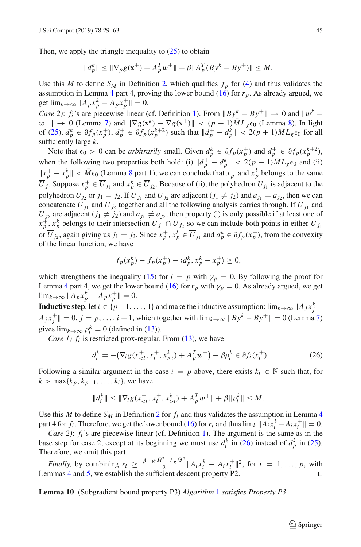Then, we apply the triangle inequality to  $(25)$  to obtain

$$
||d_p^k|| \le ||\nabla_p g(\mathbf{x}^+) + A_p^T w^+|| + \beta ||A_p^T (By^k - By^+)|| \le M.
$$

Use this *M* to define  $S_M$  in Definition [2,](#page-5-0) which qualifies  $f_p$  for [\(4\)](#page-5-2) and thus validates the assumption in Lemma [4](#page-11-4) part 4, proving the lower bound  $(16)$  for  $r_p$ . As already argued, we get  $\lim_{k \to \infty} \|A_p x_p^k - A_p x_p^+\| = 0.$ 

*Case 2)*: *f<sub>i</sub>*'s are piecewise linear (cf. Definition [1\)](#page-5-3). From  $||By^k - By^+|| \to 0$  and  $||w^k$  $w^+$ | → 0 (Lemma [7\)](#page-14-0) and  $\|\nabla g(\mathbf{x}^k) - \nabla g(\mathbf{x}^+) \|$  < ( $p + 1$ ) $\overline{M}L_g\epsilon_0$  (Lemma [8\)](#page-14-1). In light of [\(25\)](#page-15-1),  $d_p^k \in \partial f_p(x_p^+), d_p^+ \in \partial f_p(x_p^{k+2})$  such that  $||d_p^+ - d_p^k|| < 2(p+1)\bar{M}L_g\epsilon_0$  for all sufficiently large *k*.

Note that  $\epsilon_0 > 0$  can be *arbitrarily* small. Given  $d_p^k \in \partial f_p(x_p^+)$  and  $d_p^+ \in \partial f_p(x_p^{k+2})$ , when the following two properties both hold: (i)  $\|d_p^+ - d_p^k\| < 2(p+1)\bar{M}L_g\epsilon_0$  and (ii)  $||x_p^+ - x_p^k|| < \bar{M} \epsilon_0$  (Lemma [8](#page-14-1) part 1), we can conclude that  $x_p^+$  and  $x_p^k$  belongs to the same  $\overline{U}_j$ . Suppose  $x_p^+ \in \overline{U}_{j_1}$  and  $x_p^k \in \overline{U}_{j_2}$ . Because of (ii), the polyhedron  $U_{j_1}$  is adjacent to the polyhedron  $U_{j_2}$  or  $j_1 \equiv j_2$ . If  $U_{j_1}$  and  $U_{j_2}$  are adjacent ( $j_1 \neq j_2$ ) and  $a_{j_1} = a_{j_2}$ , then we can concatenate  $U_{j_1}$  and  $U_{j_2}$  together and all the following analysis carries through. If  $U_{j_1}$  and *U*  $j_2$  are adjacent ( $j_1 \neq j_2$ ) and  $a_{j_1} \neq a_{j_2}$ , then property (i) is only possible if at least one of  $x_p^+, x_p^k$  belongs to their intersection  $\overline{U}_{j_1} \cap \overline{U}_{j_2}$  so we can include both points in either  $\overline{U}_{j_1}$ or  $\overline{U}_{j_2}$ , again giving us  $j_1 = j_2$ . Since  $x_p^+, x_p^k \in \overline{U}_{j_1}$  and  $d_p^k \in \partial f_p(x_p^+)$ , from the convexity of the linear function, we have

$$
f_p(x_p^k) - f_p(x_p^+) - \langle d_p^k, x_p^k - x_p^+ \rangle \ge 0,
$$

which strengthens the inequality [\(15\)](#page-11-3) for  $i = p$  with  $\gamma_p = 0$ . By following the proof for Lemma [4](#page-11-4) part 4, we get the lower bound [\(16\)](#page-11-7) for  $r_p$  with  $\gamma_p = 0$ . As already argued, we get  $\lim_{k\to\infty}$  || *A<sub>p</sub>* $x_p^k - A_p x_p^+$ || = 0.

**Inductive step**, let  $i \in \{p-1, ..., 1\}$  and make the inductive assumption:  $\lim_{k \to \infty} ||A_j x_j^k -$ *A*<sub>j</sub> *x*<sup>+</sup> || = 0, *j* = *p*,...,*i* + 1, which together with  $\lim_{k\to\infty}$  || *B*<sub>y</sub><sup>*k*</sup> − *B*<sub>y</sub><sup>+</sup> || = 0 (Lemma [7\)](#page-14-0) gives  $\lim_{k\to\infty} \rho_i^k = 0$  (defined in [\(13\)](#page-11-1)).

*Case 1)*  $f_i$  is restricted prox-regular. From [\(13\)](#page-11-1), we have

<span id="page-16-0"></span>
$$
d_i^k = -(\nabla_i g(x_{i}^k) + A_p^T w^+) - \beta \rho_i^k \in \partial f_i(x_i^+).
$$
 (26)

Following a similar argument in the case  $i = p$  above, there exists  $k_i \in \mathbb{N}$  such that, for  $k > \max\{k_p, k_{p-1}, \ldots, k_i\}$ , we have

$$
||d_i^k|| \le ||\nabla_i g(x_{\le i}^+, x_i^+, x_{\ge i}^k) + A_p^T w^+|| + \beta ||\rho_i^k|| \le M.
$$

Use this *M* to define  $S_M$  in Definition [2](#page-5-0) for  $f_i$  and thus validates the assumption in Lemma [4](#page-11-4) part 4 for  $f_i$ . Therefore, we get the lower bound [\(16\)](#page-11-7) for  $r_i$  and thus  $\lim_k ||A_i x_i^k - A_i x_i^+|| = 0$ .

*Case 2):*  $f_i$ *'s* are piecewise linear (cf. Definition [1\)](#page-5-3). The argument is the same as in the base step for case 2, except at its beginning we must use  $d_i^k$  in [\(26\)](#page-16-0) instead of  $d_p^k$  in [\(25\)](#page-15-1). Therefore, we omit this part.

*Finally,* by combining  $r_i \geq \frac{\beta - \gamma_i \tilde{M}^2 - L_g \tilde{M}^2}{2} ||A_i x_i^k - A_i x_i^+||^2$ , for  $i = 1, ..., p$ , with Lemmas [4](#page-11-4) and [5,](#page-12-0) we establish the sufficient descent property P2.

<span id="page-16-1"></span>**Lemma 10** (Subgradient bound property P3) *Algorithm* [1](#page-2-0) *satisfies Property P3.*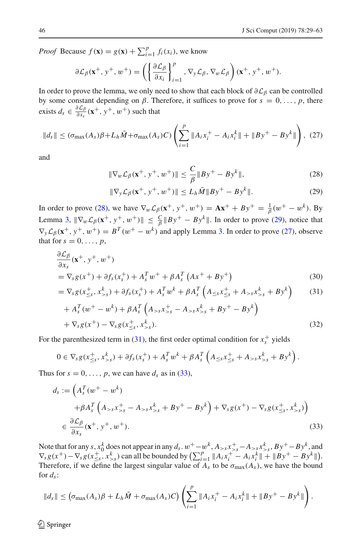*Proof* Because  $f(\mathbf{x}) = g(\mathbf{x}) + \sum_{i=1}^{p} f_i(x_i)$ , we know

$$
\partial \mathcal{L}_{\beta}(\mathbf{x}^+, y^+, w^+) = \left( \left\{ \frac{\partial \mathcal{L}_{\beta}}{\partial x_i} \right\}_{i=1}^p, \nabla_y \mathcal{L}_{\beta}, \nabla_w \mathcal{L}_{\beta} \right) (\mathbf{x}^+, y^+, w^+).
$$

In order to prove the lemma, we only need to show that each block of  $\partial \mathcal{L}_{\beta}$  can be controlled by some constant depending on  $\beta$ . Therefore, it suffices to prove for  $s = 0, \ldots, p$ , there exists  $d_s \in \frac{\partial \mathcal{L}_{\beta}}{\partial x_s}(\mathbf{x}^+, y^+, w^+)$  such that

<span id="page-17-2"></span>
$$
\|d_s\| \leq (\sigma_{\max}(A_s)\beta + L_h\bar{M} + \sigma_{\max}(A_s)C) \left(\sum_{i=1}^p \|A_i x_i^+ - A_i x_i^k\| + \|By^+ - By^k\|\right), (27)
$$

and

$$
\|\nabla_w \mathcal{L}_{\beta}(\mathbf{x}^+, y^+, w^+) \| \le \frac{C}{\beta} \|By^+ - By^k\|,
$$
 (28)

<span id="page-17-3"></span><span id="page-17-1"></span><span id="page-17-0"></span>
$$
\|\nabla_{y}\mathcal{L}_{\beta}(\mathbf{x}^{+}, \mathbf{y}^{+}, w^{+})\| \le L_{h}\bar{M} \|B\mathbf{y}^{+} - B\mathbf{y}^{k}\|.
$$
 (29)

In order to prove [\(28\)](#page-17-0), we have  $\nabla_w \mathcal{L}_{\beta}(\mathbf{x}^+, y^+, w^+) = \mathbf{A} \mathbf{x}^+ + B y^+ = \frac{1}{\beta} (w^+ - w^k)$ . By Lemma [3,](#page-11-5)  $\|\nabla_w \mathcal{L}_{\beta}(\mathbf{x}^+, y^+, w^+)\| \leq \frac{C}{\beta} \|By^+ - By^k\|$ . In order to prove [\(29\)](#page-17-1), notice that  $\nabla_{\mathbf{y}} \mathcal{L}_{\beta}(\mathbf{x}^+, \mathbf{y}^+, \mathbf{w}^+) = B^T(\mathbf{w}^+ - \mathbf{w}^k)$  and apply Lemma [3.](#page-11-5) In order to prove [\(27\)](#page-17-2), observe that for  $s = 0, \ldots, p$ ,

$$
\frac{\partial \mathcal{L}_{\beta}}{\partial x_{s}}(\mathbf{x}^{+}, y^{+}, w^{+})
$$
\n
$$
= \nabla_{s}g(x^{+}) + \partial f_{s}(x_{s}^{+}) + A_{s}^{T}w^{+} + \beta A_{s}^{T}(Ax^{+} + By^{+})
$$
\n(30)

$$
= \nabla_S g(x^+_{\leq S}, x^k_{>S}) + \partial f_S(x^+_s) + A_s^T w^k + \beta A_s^T \left( A_{\leq S} x^+_{\leq S} + A_{>S} x^k_{>S} + B y^k \right) \tag{31}
$$

$$
+ A_s^T (w^+ - w^k) + \beta A_s^T (A_{>s} x_{>s}^+ - A_{>s} x_{>s}^k + B y^+ - B y^k) + \nabla_s g(x^+) - \nabla_s g(x_{\leq s}^+, x_{>s}^k).
$$
\n(32)

For the parenthesized term in [\(31\)](#page-17-3), the first order optimal condition for  $x_s^+$  yields

$$
0 \in \nabla_s g(x_{\leq s}^+, x_{>s}^k) + \partial f_s(x_s^+) + A_s^T w^k + \beta A_s^T \left( A_{\leq s} x_{\leq s}^+ + A_{>s} x_{>s}^k + B y^k \right).
$$

Thus for  $s = 0, \ldots, p$ , we can have  $d_s$  as in [\(33\)](#page-17-4),

<span id="page-17-4"></span>
$$
d_s := \left(A_s^T(w^+ - w^k) + \beta A_s^T \left(A_{>s} x_{>s}^+ - A_{>s} x_{>s}^k + B y^+ - B y^k\right) + \nabla_s g(x^+) - \nabla_s g(x_{\leq s}^+, x_{>s}^k)\right)
$$
  

$$
\in \frac{\partial \mathcal{L}_{\beta}}{\partial x_s}(\mathbf{x}^+, y^+, w^+).
$$
 (33)

Note that for any *s*,  $x_0^k$  does not appear in any  $d_s$ .  $w^+ - w^k$ ,  $A_{>s}x_{>s}^+ - A_{>s}x_{>s}^k$ ,  $By^+ - By^k$ , and  $\nabla_{s} g(x^{+}) - \nabla_{s} g(x^{+}_{\leq s}, x^{k}_{\leq s})$  can all be bounded by  $\left(\sum_{i=1}^{p} ||A_{i}x^{+}_{i} - A_{i}x^{k}_{i}|| + ||By^{+} - By^{k}||\right)$ . Therefore, if we define the largest singular value of  $A_s$  to be  $\sigma_{\text{max}}(A_s)$ , we have the bound for  $d_s$ :

$$
||d_s|| \leq (\sigma_{\max}(A_s)\beta + L_h\bar{M} + \sigma_{\max}(A_s)C)\left(\sum_{i=1}^p ||A_ix_i^+ - A_ix_i^k|| + ||By^+ - By^k||\right).
$$

 $\circledcirc$  Springer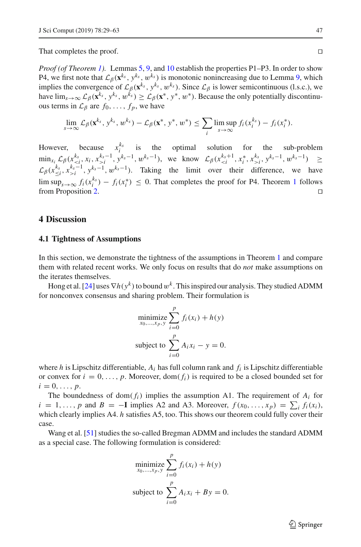That completes the proof.

*Proof (of Theorem [1\)](#page-8-0).* Lemmas [5,](#page-12-0) [9,](#page-15-0) and [10](#page-16-1) establish the properties P1–P3. In order to show P4, we first note that  $\mathcal{L}_{\beta}(\mathbf{x}^{k_s}, y^{k_s}, w^{k_s})$  is monotonic nonincreasing due to Lemma [9,](#page-15-0) which implies the convergence of  $\mathcal{L}_{\beta}(\mathbf{x}^{k_s}, y^{k_s}, w^{k_s})$ . Since  $\mathcal{L}_{\beta}$  is lower semicontinuous (l.s.c.), we have  $\lim_{s\to\infty}$   $\mathcal{L}_{\beta}(\mathbf{x}^{k_s}, y^{k_s}, w^{k_s}) \geq \mathcal{L}_{\beta}(\mathbf{x}^*, y^*, w^*)$ . Because the only potentially discontinuous terms in  $\mathcal{L}_{\beta}$  are  $f_0, \ldots, f_p$ , we have

$$
\lim_{s\to\infty}\mathcal{L}_{\beta}(\mathbf{x}^{k_s},y^{k_s},w^{k_s})-\mathcal{L}_{\beta}(\mathbf{x}^*,y^*,w^*)\leq \sum_i\limsup_{s\to\infty}f_i(x_i^{k_s})-f_i(x_i^*).
$$

However, because  $x_i^{k_s}$  is the optimal solution for the sub-problem  $\min_{x_i} \mathcal{L}_{\beta}(x_{i}^{k_s-1}, y^{k_s-1}, w^{k_s-1}),$  we know  $\mathcal{L}_{\beta}(x_{i}^{k_s}, y^{k_s-1}, w^{k_s-1}) \ge$  $\mathcal{L}_{\beta}(x_{\leq i}^{k_s}, x_{>i}^{k_s-1}, y_{\leq i}^{k_s-1}, w_{\leq i}^{k_s-1})$ . Taking the limit over their difference, we have lim sup<sub>*s*→∞</sub>  $f_i(x_i^{k_s}) - f_i(x_i^*) \le 0$ . That completes the proof for P4. Theorem [1](#page-8-0) follows from Proposition [2.](#page-10-0)

## <span id="page-18-0"></span>**4 Discussion**

## **4.1 Tightness of Assumptions**

In this section, we demonstrate the tightness of the assumptions in Theorem [1](#page-8-0) and compare them with related recent works. We only focus on results that do *not* make assumptions on the iterates themselves.

Hong et al. [\[24\]](#page-32-13) uses  $\nabla h(y^k)$  to bound w<sup>k</sup>. This inspired our analysis. They studied ADMM for nonconvex consensus and sharing problem. Their formulation is

$$
\begin{aligned}\n\text{minimize} & \sum_{x_0, \dots, x_p, y}^{p} f_i(x_i) + h(y) \\
\text{subject to} & \sum_{i=0}^{p} A_i x_i - y = 0.\n\end{aligned}
$$

where  $h$  is Lipschitz differentiable,  $A_i$  has full column rank and  $f_i$  is Lipschitz differentiable or convex for  $i = 0, \ldots, p$ . Moreover, dom( $f_i$ ) is required to be a closed bounded set for  $i = 0, \ldots, p$ .

The boundedness of dom( $f_i$ ) implies the assumption A1. The requirement of  $A_i$  for  $i = 1, \ldots, p$  and  $B = -I$  implies A2 and A3. Moreover,  $f(x_0, \ldots, x_p) = \sum_i f_i(x_i)$ , which clearly implies A4. *h* satisfies A5, too. This shows our theorem could fully cover their case.

Wang et al. [\[51\]](#page-33-9) studies the so-called Bregman ADMM and includes the standard ADMM as a special case. The following formulation is considered:

$$
\begin{aligned}\n\min_{x_0, \dots, x_p, y} \sum_{i=0}^p f_i(x_i) + h(y) \\
\text{subject to } \sum_{i=0}^p A_i x_i + By = 0.\n\end{aligned}
$$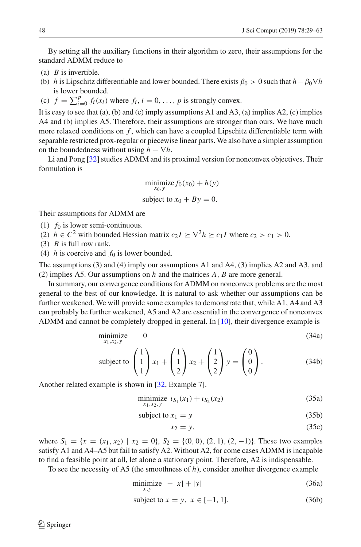By setting all the auxiliary functions in their algorithm to zero, their assumptions for the standard ADMM reduce to

- (a) *B* is invertible.
- (b) *h* is Lipschitz differentiable and lower bounded. There exists  $\beta_0 > 0$  such that  $h \beta_0 \nabla h$ is lower bounded.
- (c)  $f = \sum_{i=0}^{p} f_i(x_i)$  where  $f_i, i = 0, \ldots, p$  is strongly convex.

It is easy to see that (a), (b) and (c) imply assumptions A1 and A3, (a) implies A2, (c) implies A4 and (b) implies A5. Therefore, their assumptions are stronger than ours. We have much more relaxed conditions on  $f$ , which can have a coupled Lipschitz differentiable term with separable restricted prox-regular or piecewise linear parts. We also have a simpler assumption on the boundedness without using  $h - \nabla h$ .

Li and Pong [\[32](#page-33-8)] studies ADMM and its proximal version for nonconvex objectives. Their formulation is

$$
\begin{aligned}\n\text{minimize } & f_0(x_0) + h(y) \\
\text{subject to } & x_0 + By = 0.\n\end{aligned}
$$

Their assumptions for ADMM are

(1) *f*<sup>0</sup> is lower semi-continuous.

- (2)  $h \in C^2$  with bounded Hessian matrix  $c_2 I \succeq \nabla^2 h \succeq c_1 I$  where  $c_2 > c_1 > 0$ .
- (3) *B* is full row rank.

(4) *h* is coercive and  $f_0$  is lower bounded.

The assumptions (3) and (4) imply our assumptions A1 and A4, (3) implies A2 and A3, and (2) implies A5. Our assumptions on *h* and the matrices *A*, *B* are more general.

In summary, our convergence conditions for ADMM on nonconvex problems are the most general to the best of our knowledge. It is natural to ask whether our assumptions can be further weakened. We will provide some examples to demonstrate that, while A1, A4 and A3 can probably be further weakened, A5 and A2 are essential in the convergence of nonconvex ADMM and cannot be completely dropped in general. In [\[10\]](#page-32-2), their divergence example is

$$
\underset{x_1, x_2, y}{\text{minimize}} \qquad 0 \tag{34a}
$$

subject to 
$$
\begin{pmatrix} 1 \\ 1 \\ 1 \end{pmatrix} x_1 + \begin{pmatrix} 1 \\ 1 \\ 2 \end{pmatrix} x_2 + \begin{pmatrix} 1 \\ 2 \\ 2 \end{pmatrix} y = \begin{pmatrix} 0 \\ 0 \\ 0 \end{pmatrix}.
$$
 (34b)

Another related example is shown in [\[32,](#page-33-8) Example 7].

$$
\underset{x_1, x_2, y}{\text{minimize}} \ \iota_{S_1}(x_1) + \iota_{S_2}(x_2) \tag{35a}
$$

$$
subject to x_1 = y \tag{35b}
$$

$$
x_2 = y,\tag{35c}
$$

where  $S_1 = \{x = (x_1, x_2) | x_2 = 0\}$ ,  $S_2 = \{(0, 0), (2, 1), (2, -1)\}$ . These two examples satisfy A1 and A4–A5 but fail to satisfy A2. Without A2, for come cases ADMM is incapable to find a feasible point at all, let alone a stationary point. Therefore, A2 is indispensable.

To see the necessity of A5 (the smoothness of *h*), consider another divergence example

$$
\underset{x,y}{\text{minimize}} - |x| + |y| \tag{36a}
$$

subject to 
$$
x = y, x \in [-1, 1].
$$
 (36b)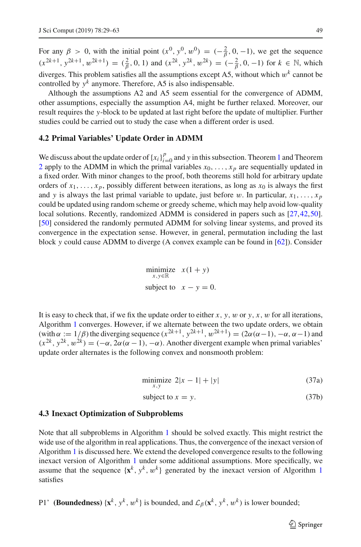For any  $\beta > 0$ , with the initial point  $(x^0, y^0, w^0) = (-\frac{2}{\beta}, 0, -1)$ , we get the sequence  $(x^{2k+1}, y^{2k+1}, w^{2k+1}) = (\frac{2}{\beta}, 0, 1)$  and  $(x^{2k}, y^{2k}, w^{2k}) = (-\frac{2}{\beta}, 0, -1)$  for  $k \in \mathbb{N}$ , which diverges. This problem satisfies all the assumptions except A5, without which  $w<sup>k</sup>$  cannot be controlled by  $y^k$  anymore. Therefore, A5 is also indispensable.

Although the assumptions A2 and A5 seem essential for the convergence of ADMM, other assumptions, especially the assumption A4, might be further relaxed. Moreover, our result requires the *y*-block to be updated at last right before the update of multiplier. Further studies could be carried out to study the case when a different order is used.

## **4.2 Primal Variables' Update Order in ADMM**

We discuss about the update order of  ${x_i}_{i=0}^p$  and *y* in this subsection. Theorem [1](#page-8-0) and Theorem [2](#page-9-0) apply to the ADMM in which the primal variables  $x_0, \ldots, x_p$  are sequentially updated in a fixed order. With minor changes to the proof, both theorems still hold for arbitrary update orders of  $x_1, \ldots, x_p$ , possibly different between iterations, as long as  $x_0$  is always the first and *y* is always the last primal variable to update, just before w. In particular,  $x_1, \ldots, x_p$ could be updated using random scheme or greedy scheme, which may help avoid low-quality local solutions. Recently, randomized ADMM is considered in papers such as [\[27](#page-33-19)[,42](#page-33-20)[,50\]](#page-33-21). [\[50\]](#page-33-21) considered the randomly permuted ADMM for solving linear systems, and proved its convergence in the expectation sense. However, in general, permutation including the last block *y* could cause ADMM to diverge (A convex example can be found in [\[62](#page-34-6)]). Consider

$$
\begin{array}{ll}\text{minimize} & x(1+y) \\ x, y \in \mathbb{R} \\ \text{subject to} & x - y = 0. \end{array}
$$

It is easy to check that, if we fix the update order to either  $x$ ,  $y$ ,  $w$  or  $y$ ,  $x$ ,  $w$  for all iterations, Algorithm [1](#page-2-0) converges. However, if we alternate between the two update orders, we obtain (with  $\alpha := 1/\beta$ ) the diverging sequence  $(x^{2k+1}, y^{2k+1}, w^{2k+1}) = (2\alpha(\alpha-1), -\alpha, \alpha-1)$  and  $(x^{2k}, y^{2k}, w^{2k}) = (-\alpha, 2\alpha(\alpha - 1), -\alpha)$ . Another divergent example when primal variables' update order alternates is the following convex and nonsmooth problem:

$$
\min_{x,y} \text{imize } 2|x-1| + |y| \tag{37a}
$$

$$
subject to x = y. \tag{37b}
$$

## **4.3 Inexact Optimization of Subproblems**

Note that all subproblems in Algorithm [1](#page-2-0) should be solved exactly. This might restrict the wide use of the algorithm in real applications. Thus, the convergence of the inexact version of Algorithm [1](#page-2-0) is discussed here. We extend the developed convergence results to the following inexact version of Algorithm [1](#page-2-0) under some additional assumptions. More specifically, we assume that the sequence  $\{x^k, y^k, w^k\}$  generated by the inexact version of Algorithm [1](#page-2-0) satisfies

P1' **(Boundedness)** { $\mathbf{x}^k$ ,  $y^k$ ,  $w^k$ } is bounded, and  $\mathcal{L}_{\beta}(\mathbf{x}^k, y^k, w^k)$  is lower bounded;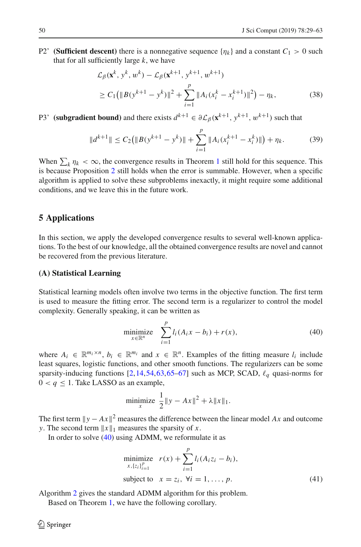P2' **(Sufficient descent)** there is a nonnegative sequence  $\{\eta_k\}$  and a constant  $C_1 > 0$  such that for all sufficiently large *k*, we have

$$
\mathcal{L}_{\beta}(\mathbf{x}^{k}, y^{k}, w^{k}) - \mathcal{L}_{\beta}(\mathbf{x}^{k+1}, y^{k+1}, w^{k+1})
$$
\n
$$
\geq C_{1}(\|B(y^{k+1} - y^{k})\|^{2} + \sum_{i=1}^{p} \|A_{i}(x_{i}^{k} - x_{i}^{k+1})\|^{2}) - \eta_{k},
$$
\n(38)

P3' **(subgradient bound)** and there exists  $d^{k+1} \in \partial \mathcal{L}_{\beta}(\mathbf{x}^{k+1}, y^{k+1}, w^{k+1})$  such that

$$
||d^{k+1}|| \leq C_2(||B(y^{k+1} - y^k)|| + \sum_{i=1}^p ||A_i(x_i^{k+1} - x_i^k)||) + \eta_k.
$$
 (39)

When  $\sum_{k} \eta_k < \infty$ , the convergence results in Theorem [1](#page-8-0) still hold for this sequence. This is because Proposition [2](#page-10-0) still holds when the error is summable. However, when a specific algorithm is applied to solve these subproblems inexactly, it might require some additional conditions, and we leave this in the future work.

# <span id="page-21-0"></span>**5 Applications**

In this section, we apply the developed convergence results to several well-known applications. To the best of our knowledge, all the obtained convergence results are novel and cannot be recovered from the previous literature.

## **(A) Statistical Learning**

Statistical learning models often involve two terms in the objective function. The first term is used to measure the fitting error. The second term is a regularizer to control the model complexity. Generally speaking, it can be written as

<span id="page-21-1"></span>minimize 
$$
\sum_{x \in \mathbb{R}^n}^p l_i (A_i x - b_i) + r(x),
$$
 (40)

where  $A_i \in \mathbb{R}^{m_i \times n}$ ,  $b_i \in \mathbb{R}^{m_i}$  and  $x \in \mathbb{R}^n$ . Examples of the fitting measure  $l_i$  include least squares, logistic functions, and other smooth functions. The regularizers can be some sparsity-inducing functions  $[2,14,54,63,65-67]$  $[2,14,54,63,65-67]$  $[2,14,54,63,65-67]$  $[2,14,54,63,65-67]$  $[2,14,54,63,65-67]$  $[2,14,54,63,65-67]$  $[2,14,54,63,65-67]$  such as MCP, SCAD,  $\ell_q$  quasi-norms for  $0 < q \leq 1$ . Take LASSO as an example,

minimize 
$$
\frac{1}{2} ||y - Ax||^2 + \lambda ||x||_1
$$
.

The first term  $||y - Ax||^2$  measures the difference between the linear model *Ax* and outcome *y*. The second term  $||x||_1$  measures the sparsity of *x*.

In order to solve [\(40\)](#page-21-1) using ADMM, we reformulate it as

<span id="page-21-2"></span>minimize 
$$
r(x) + \sum_{i=1}^{p} l_i (A_i z_i - b_i),
$$
  
\nsubject to  $x = z_i, \forall i = 1, ..., p.$  (41)

Algorithm [2](#page-22-0) gives the standard ADMM algorithm for this problem.

Based on Theorem [1,](#page-8-0) we have the following corollary.

 $\mathcal{L}$  Springer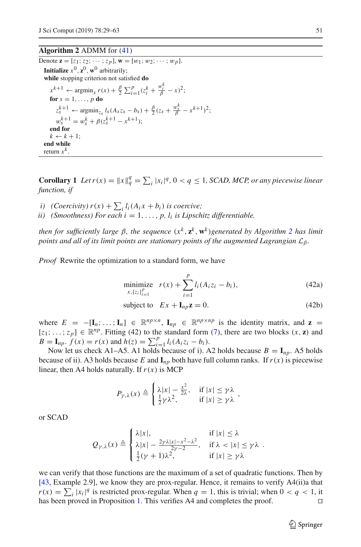# **Algorithm 2** ADMM for [\(41\)](#page-21-2)

<span id="page-22-0"></span>Denote  $\mathbf{z} = [z_1; z_2; \cdots; z_p], \mathbf{w} = [w_1; w_2; \cdots; w_p].$ **Initialize**  $x^0$ ,  $z^0$ ,  $w^0$  arbitrarily; **while** stopping criterion not satisfied **do**  $x^{k+1} \leftarrow \operatorname{argmin}_x r(x) + \frac{\beta}{2} \sum_{i=1}^p (z_i^k + \frac{w_i^k}{\beta} - x)^2;$ **for**  $s = 1, \ldots, p$  **do**  $z_s^{k+1} \leftarrow \argmin_{z_s} l_s(A_s z_s - b_s) + \frac{\beta}{2} (z_s + \frac{w_s^k}{\beta} - x^{k+1})^2;$  $w_s^{k+1} = w_s^k + \beta(z_s^{k+1} - x^{k+1});$ **end for**  $k \leftarrow k + 1$ : **end while** return  $x^k$ .

**Corollary 1** *Let*  $r(x) = ||x||_q^q = \sum_i |x_i|^q$ ,  $0 < q \le 1$ , *SCAD, MCP, or any piecewise linear function, if*

- *i*) (*Coercivity*)  $r(x) + \sum_i l_i(A_ix + b_i)$  *is coercive;*
- *ii*) (Smoothness) For each  $i = 1, \ldots, p$ ,  $l_i$  *is Lipschitz differentiable.*

*then for sufficiently large β, the sequence*  $(x^k, \mathbf{z}^k, \mathbf{w}^k)$ *generated by Algorithm [2](#page-22-0) has limit points and all of its limit points are stationary points of the augmented Lagrangian*  $\mathcal{L}_{\beta}$ *.* 

*Proof* Rewrite the optimization to a standard form, we have

minimize 
$$
r(x) + \sum_{i=1}^{p} l_i (A_i z_i - b_i),
$$
 (42a)

subject to 
$$
Ex + \mathbf{I}_{np}\mathbf{z} = 0.
$$
 (42b)

where  $E = -[\mathbf{I}_n; \dots; \mathbf{I}_n] \in \mathbb{R}^{np \times n}$ ,  $\mathbf{I}_{np} \in \mathbb{R}^{np \times np}$  is the identity matrix, and  $\mathbf{z} =$  $[z_1; \ldots; z_p] \in \mathbb{R}^{np}$ . Fitting (42) to the standard form [\(7\)](#page-8-2), there are two blocks  $(x, z)$  and  $B = I_{np}$ .  $f(x) = r(x)$  and  $h(z) = \sum_{i=1}^{p} l_i (A_i z_i - b_i)$ .

Now let us check A1–A5. A1 holds because of i). A2 holds because  $B = I_{np}$ . A5 holds because of ii). A3 holds because *E* and  $I_{np}$  both have full column ranks. If  $r(x)$  is piecewise linear, then A4 holds naturally. If  $r(x)$  is MCP

$$
P_{\gamma,\lambda}(x) \triangleq \begin{cases} \lambda |x| - \frac{x^2}{2\lambda}, & \text{if } |x| \leq \gamma \lambda \\ \frac{1}{2} \gamma \lambda^2, & \text{if } |x| \geq \gamma \lambda \end{cases}
$$

or SCAD

$$
Q_{\gamma,\lambda}(x) \triangleq \begin{cases} \lambda|x|, & \text{if } |x| \leq \lambda \\ \lambda|x| - \frac{2\gamma\lambda|x| - x^2 - \lambda^2}{2\gamma - 2}, & \text{if } \lambda < |x| \leq \gamma\lambda \\ \frac{1}{2}(\gamma + 1)\lambda^2, & \text{if } |x| \geq \gamma\lambda \end{cases}
$$

we can verify that those functions are the maximum of a set of quadratic functions. Then by [\[43,](#page-33-12) Example 2.9], we know they are prox-regular. Hence, it remains to verify A4(ii)a that  $r(x) = \sum_i |x_i|^q$  is restricted prox-regular. When  $q = 1$ , this is trivial; when  $0 < q < 1$ , it has been proved in Proposition [1.](#page-2-3) This verifies A4 and completes the proof.

 $\textcircled{2}$  Springer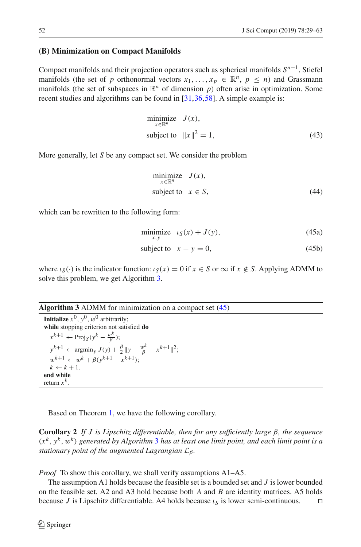## **(B) Minimization on Compact Manifolds**

Compact manifolds and their projection operators such as spherical manifolds *Sn*−1, Stiefel manifolds (the set of *p* orthonormal vectors  $x_1, \ldots, x_p \in \mathbb{R}^n$ ,  $p \leq n$ ) and Grassmann manifolds (the set of subspaces in  $\mathbb{R}^n$  of dimension *p*) often arise in optimization. Some recent studies and algorithms can be found in [\[31](#page-33-3)[,36](#page-33-23),[58\]](#page-34-10). A simple example is:

$$
\begin{array}{ll}\text{minimize} & J(x),\\ \text{subject to} & \|x\|^2 = 1, \end{array} \tag{43}
$$

More generally, let *S* be any compact set. We consider the problem

$$
\begin{array}{ll}\text{minimize} & J(x),\\ \text{subject to} & x \in S,\end{array} \tag{44}
$$

which can be rewritten to the following form:

<span id="page-23-1"></span>
$$
\underset{x,y}{\text{minimize}} \quad \iota_{S}(x) + J(y),\tag{45a}
$$

subject to 
$$
x - y = 0
$$
, (45b)

where  $\iota_S(\cdot)$  is the indicator function:  $\iota_S(x) = 0$  if  $x \in S$  or  $\infty$  if  $x \notin S$ . Applying ADMM to solve this problem, we get Algorithm [3.](#page-23-0)

## <span id="page-23-0"></span>**Algorithm 3** ADMM for minimization on a compact set [\(45\)](#page-23-1)

**Initialize**  $x^0$ ,  $y^0$ ,  $w^0$  arbitrarily; **while** stopping criterion not satisfied **do**  $x^{k+1} \leftarrow \text{Proj}_S(y^k - \frac{w^k}{\beta});$  $y^{k+1} \leftarrow \operatorname{argmin}_y J(y) + \frac{\beta}{2} ||y - \frac{w^k}{\beta} - x^{k+1}||^2;$  $w^{k+1} \leftarrow w^k + \beta(v^{k+1} - x^{k+1})$ ;  $k \leftarrow k + 1$ . **end while** return  $x^k$ 

Based on Theorem [1,](#page-8-0) we have the following corollary.

**Corollary 2** *If J is Lipschitz differentiable, then for any sufficiently large* β*, the sequence* (*x<sup>k</sup>* , *y<sup>k</sup>* , w*<sup>k</sup>* ) *generated by Algorithm* [3](#page-23-0) *has at least one limit point, and each limit point is a stationary point of the augmented Lagrangian*  $L_β$ *.* 

*Proof* To show this corollary, we shall verify assumptions A1–A5.

The assumption A1 holds because the feasible set is a bounded set and *J* is lower bounded on the feasible set. A2 and A3 hold because both *A* and *B* are identity matrices. A5 holds because *J* is Lipschitz differentiable. A4 holds because  $\iota_S$  is lower semi-continuous.  $\square$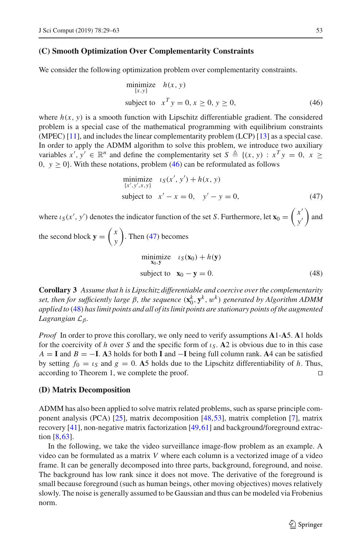## **(C) Smooth Optimization Over Complementarity Constraints**

We consider the following optimization problem over complementarity constraints.

<span id="page-24-0"></span>
$$
\begin{array}{ll}\text{minimize} & h(x, y) \\ \text{subject to} & x^T y = 0, x \ge 0, y \ge 0, \end{array} \tag{46}
$$

where  $h(x, y)$  is a smooth function with Lipschitz differentiable gradient. The considered problem is a special case of the mathematical programming with equilibrium constraints (MPEC) [\[11\]](#page-32-20), and includes the linear complementarity problem (LCP) [\[13](#page-32-21)] as a special case. In order to apply the ADMM algorithm to solve this problem, we introduce two auxiliary variables  $x', y' \in \mathbb{R}^n$  and define the complementarity set  $S \triangleq \{(x, y) : x^T y = 0, x \geq 0\}$ 0,  $y \ge 0$ . With these notations, problem [\(46\)](#page-24-0) can be reformulated as follows

<span id="page-24-2"></span><span id="page-24-1"></span>minimize 
$$
\iota_S(x', y') + h(x, y)
$$
  
\n $\{x', y', x, y\}$   
\nsubject to  $x' - x = 0, y' - y = 0,$  (47)

where  $\iota_S(x', y')$  denotes the indicator function of the set *S*. Furthermore, let  $\mathbf{x}_0 = \begin{pmatrix} x' \\ y' \end{pmatrix}$ *y*  $\big)$  and

the second block 
$$
\mathbf{y} = \begin{pmatrix} x \\ y \end{pmatrix}
$$
. Then (47) becomes  
\n
$$
\begin{array}{ll}\n\text{minimize} & t_S(\mathbf{x}_0) + h(\mathbf{y}) \\
\text{subject to} & \mathbf{x}_0 - \mathbf{y} = 0.\n\end{array}
$$
\n(48)

**Corollary 3** *Assume that h is Lipschitz differentiable and coercive over the complementarity set, then for sufficiently large* β*, the sequence* (**x***<sup>k</sup>* <sup>0</sup>, **<sup>y</sup>***<sup>k</sup>* , w*<sup>k</sup>* ) *generated by Algorithm ADMM applied to* [\(48\)](#page-24-2) *has limit points and all of its limit points are stationary points of the augmented Lagrangian*  $L_β$ *.* 

*Proof* In order to prove this corollary, we only need to verify assumptions **A**1-**A**5. **A**1 holds for the coercivity of *h* over *S* and the specific form of  $\iota_S$ . **A**2 is obvious due to in this case  $A = I$  and  $B = -I$ . **A**3 holds for both **I** and  $-I$  being full column rank. **A**4 can be satisfied by setting  $f_0 = \iota_s$  and  $g = 0$ . A5 holds due to the Lipschitz differentiability of *h*. Thus, according to Theorem 1, we complete the proof.

## **(D) Matrix Decomposition**

ADMM has also been applied to solve matrix related problems, such as sparse principle component analysis (PCA) [\[25\]](#page-32-22), matrix decomposition [\[48](#page-33-24),[53](#page-33-25)], matrix completion [\[7\]](#page-32-23), matrix recovery [\[41\]](#page-33-26), non-negative matrix factorization [\[49](#page-33-1)[,61\]](#page-34-0) and background/foreground extraction [\[8](#page-32-24)[,63\]](#page-34-1).

In the following, we take the video surveillance image-flow problem as an example. A video can be formulated as a matrix *V* where each column is a vectorized image of a video frame. It can be generally decomposed into three parts, background, foreground, and noise. The background has low rank since it does not move. The derivative of the foreground is small because foreground (such as human beings, other moving objectives) moves relatively slowly. The noise is generally assumed to be Gaussian and thus can be modeled via Frobenius norm.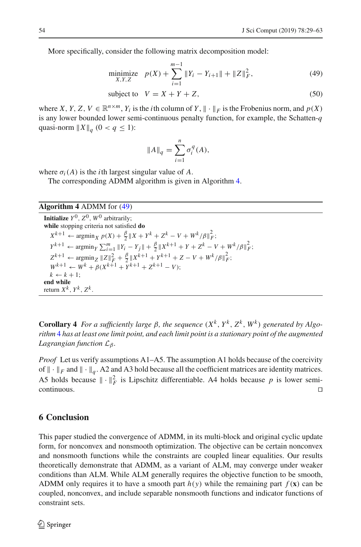More specifically, consider the following matrix decomposition model:

minimize 
$$
p(X) + \sum_{i=1}^{m-1} ||Y_i - Y_{i+1}|| + ||Z||_F^2,
$$
 (49)

subject to 
$$
V = X + Y + Z
$$
, (50)

where *X*, *Y*, *Z*, *V*  $\in \mathbb{R}^{n \times m}$ , *Y<sub>i</sub>* is the *i*th column of *Y*,  $\|\cdot\|_F$  is the Frobenius norm, and  $p(X)$ is any lower bounded lower semi-continuous penalty function, for example, the Schatten-*q* quasi-norm  $||X||_q$  (0 <  $q \le 1$ ):

<span id="page-25-2"></span>
$$
||A||_q = \sum_{i=1}^n \sigma_i^q(A),
$$

where  $\sigma_i(A)$  is the *i*th largest singular value of *A*.

The corresponding ADMM algorithm is given in Algorithm [4.](#page-25-1)

<span id="page-25-1"></span>**Algorithm 4** ADMM for [\(49\)](#page-25-2)

**Initialize**  $Y^0$ ,  $Z^0$ ,  $W^0$  arbitrarily; **while** stopping criteria not satisfied **do**  $X^{k+1} \leftarrow \operatorname{argmin}_{X} p(X) + \frac{\beta}{2} \|X + Y^{k} + Z^{k} - V + W^{k}/\beta\|_{F}^{2};$  $Y^{k+1} \leftarrow \arg\min_{Y} \sum_{i=1}^{m} \|Y_i - Y_j\| + \frac{\beta}{2} \|X^{k+1} + Y + Z^k - V + W^k / \beta\|_F^2;$  $Z^{k+1} \leftarrow \arg\min_{Z} |Z||_F^2 + \frac{\beta}{2} ||X^{k+1} + Y^{k+1} + Z - V + W^k/\beta||_F^2;$  $W^{k+1} \leftarrow W^k + \overline{\beta}(X^{k+1} + \overline{Y}^{k+1} + Z^{k+1} - V);$  $k \leftarrow k + 1$ ; **end while** return  $X^k$ ,  $Y^k$ ,  $Z^k$ .

**Corollary 4** *For a sufficiently large β, the sequence*  $(X^k, Y^k, Z^k, W^k)$  *generated by Algorithm* [4](#page-25-1) *has at least one limit point, and each limit point is a stationary point of the augmented Lagrangian function*  $\mathcal{L}_{\beta}$ *.* 

*Proof* Let us verify assumptions A1–A5. The assumption A1 holds because of the coercivity of  $\|\cdot\|_F$  and  $\|\cdot\|_q$ . A2 and A3 hold because all the coefficient matrices are identity matrices. A5 holds because  $\|\cdot\|_F^2$  is Lipschitz differentiable. A4 holds because p is lower semi- $\Box$ continuous.

# <span id="page-25-0"></span>**6 Conclusion**

This paper studied the convergence of ADMM, in its multi-block and original cyclic update form, for nonconvex and nonsmooth optimization. The objective can be certain nonconvex and nonsmooth functions while the constraints are coupled linear equalities. Our results theoretically demonstrate that ADMM, as a variant of ALM, may converge under weaker conditions than ALM. While ALM generally requires the objective function to be smooth, ADMM only requires it to have a smooth part  $h(y)$  while the remaining part  $f(x)$  can be coupled, nonconvex, and include separable nonsmooth functions and indicator functions of constraint sets.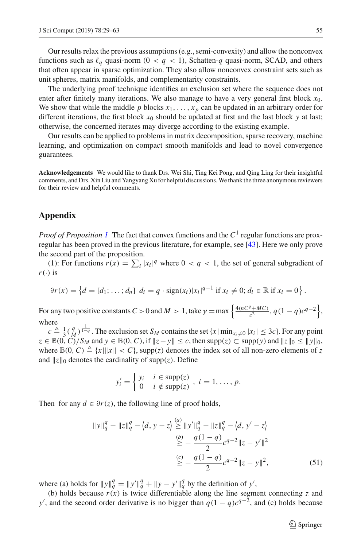Our results relax the previous assumptions (e.g., semi-convexity) and allow the nonconvex functions such as  $\ell_q$  quasi-norm (0 <  $q$  < 1), Schatten-q quasi-norm, SCAD, and others that often appear in sparse optimization. They also allow nonconvex constraint sets such as unit spheres, matrix manifolds, and complementarity constraints.

The underlying proof technique identifies an exclusion set where the sequence does not enter after finitely many iterations. We also manage to have a very general first block  $x_0$ . We show that while the middle  $p$  blocks  $x_1, \ldots, x_p$  can be updated in an arbitrary order for different iterations, the first block  $x_0$  should be updated at first and the last block  $y$  at last; otherwise, the concerned iterates may diverge according to the existing example.

Our results can be applied to problems in matrix decomposition, sparse recovery, machine learning, and optimization on compact smooth manifolds and lead to novel convergence guarantees.

**Acknowledgements** We would like to thank Drs. Wei Shi, Ting Kei Pong, and Qing Ling for their insightful comments, and Drs. Xin Liu and Yangyang Xu for helpful discussions. We thank the three anonymous reviewers for their review and helpful comments.

# **Appendix**

*Proof of Proposition [1](#page-2-3)* The fact that convex functions and the  $C^1$  regular functions are proxregular has been proved in the previous literature, for example, see [\[43\]](#page-33-12). Here we only prove the second part of the proposition.

(1): For functions  $r(x) = \sum_i |x_i|^q$  where  $0 < q < 1$ , the set of general subgradient of  $r(\cdot)$  is

$$
\partial r(x) = \left\{ d = [d_1; \ldots; d_n] \, \middle| \, d_i = q \cdot \text{sign}(x_i) |x_i|^{q-1} \text{ if } x_i \neq 0; d_i \in \mathbb{R} \text{ if } x_i = 0 \right\}.
$$

For any two positive constants  $C > 0$  and  $M > 1$ , take  $\gamma = \max \left\{ \frac{4(nC^q + MC)}{c^2}, q(1-q)c^{q-2} \right\}$ , where

 $c \triangleq \frac{1}{3}(\frac{q}{M})^{\frac{1}{1-q}}$ . The exclusion set *S<sub>M</sub>* contains the set  $\{x | \min_{x_i \neq 0} |x_i| \leq 3c\}$ . For any point  $z \in \mathbb{B}(0, C)/S_M$  and  $y \in \mathbb{B}(0, C)$ , if  $||z - y|| \le c$ , then supp(*z*)  $\subset$  supp(*y*) and  $||z||_0 \le ||y||_0$ , where  $\mathbb{B}(0, C) \triangleq \{x \mid ||x|| < C\}$ , supp(*z*) denotes the index set of all non-zero elements of *z* and  $||z||_0$  denotes the cardinality of supp(*z*). Define

$$
y'_{i} = \begin{cases} y_{i} & i \in \text{supp}(z) \\ 0 & i \notin \text{supp}(z) \end{cases}, i = 1, \ldots, p.
$$

Then for any  $d \in \partial r(z)$ , the following line of proof holds,

$$
||y||_q^q - ||z||_q^q - \langle d, y - z \rangle \stackrel{(a)}{\ge} ||y'||_q^q - ||z||_q^q - \langle d, y' - z \rangle
$$
  
\n
$$
\stackrel{(b)}{\ge} - \frac{q(1-q)}{2} e^{q-2} ||z - y'||^2
$$
  
\n
$$
\stackrel{(c)}{\ge} - \frac{q(1-q)}{2} e^{q-2} ||z - y||^2,
$$
\n(51)

where (a) holds for  $||y||_q^q = ||y'||_q^q + ||y - y'||_q^q$  by the definition of *y'*,

(b) holds because  $r(x)$  is twice differentiable along the line segment connecting *z* and *y*<sup>'</sup>, and the second order derivative is no bigger than  $q(1 - q)c^{q-2}$ , and (c) holds because

<span id="page-26-0"></span> $\circled{2}$  Springer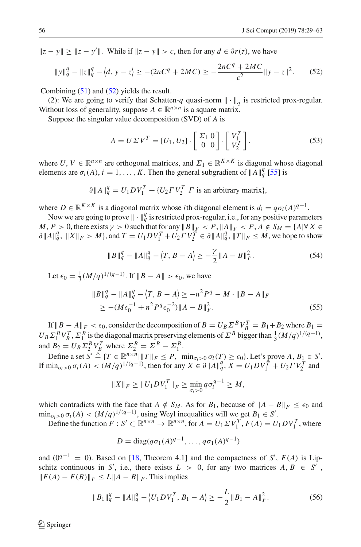$||z - y|| \ge ||z - y'||$ . While if  $||z - y|| > c$ , then for any  $d \in \partial r(z)$ , we have

<span id="page-27-0"></span>
$$
||y||_q^q - ||z||_q^q - \langle d, y - z \rangle \ge - (2nC^q + 2MC) \ge -\frac{2nC^q + 2MC}{c^2} ||y - z||^2. \tag{52}
$$

Combining [\(51\)](#page-26-0) and [\(52\)](#page-27-0) yields the result.

(2): We are going to verify that Schatten-*q* quasi-norm  $\|\cdot\|_q$  is restricted prox-regular. Without loss of generality, suppose  $A \in \mathbb{R}^{n \times n}$  is a square matrix.

Suppose the singular value decomposition (SVD) of *A* is

$$
A = U \Sigma V^T = [U_1, U_2] \cdot \begin{bmatrix} \Sigma_1 & 0 \\ 0 & 0 \end{bmatrix} \cdot \begin{bmatrix} V_1^T \\ V_2^T \end{bmatrix},
$$
\n(53)

where *U*,  $V \in \mathbb{R}^{n \times n}$  are orthogonal matrices, and  $\Sigma_1 \in \mathbb{R}^{K \times K}$  is diagonal whose diagonal elements are  $\sigma_i(A)$ ,  $i = 1, ..., K$ . Then the general subgradient of  $||A||_q^q$  [\[55](#page-33-27)] is

$$
\partial ||A||_q^q = U_1 D V_1^T + \{U_2 \Gamma V_2^T | \Gamma \text{ is an arbitrary matrix}\},
$$

where  $D \in \mathbb{R}^{K \times K}$  is a diagonal matrix whose *i*th diagonal element is  $d_i = q \sigma_i(A)^{q-1}$ .

Now we are going to prove  $\|\cdot\|_q^q$  is restricted prox-regular, i.e., for any positive parameters  $M, P > 0$ , there exists  $\gamma > 0$  such that for any  $\|B\|_F < P$ ,  $\|A\|_F < P$ ,  $A \notin S_M = \{A | \forall X \in \mathbb{R}^N\}$  $\partial \|A\|_q^q$ ,  $\|X\|_F > M$ , and  $T = U_1 D V_1^T + U_2 T V_2^T \in \partial \|A\|_q^q$ ,  $\|T\|_F \leq M$ , we hope to show

<span id="page-27-3"></span><span id="page-27-2"></span>
$$
||B||_q^q - ||A||_q^q - \langle T, B - A \rangle \ge -\frac{\gamma}{2} ||A - B||_F^2.
$$
 (54)

Let  $\epsilon_0 = \frac{1}{3} (M/q)^{1/(q-1)}$ . If  $||B - A|| > \epsilon_0$ , we have

$$
||B||_q^q - ||A||_q^q - \langle T, B - A \rangle \ge -n^2 P^q - M \cdot ||B - A||_F
$$
  
\n
$$
\ge - (M\epsilon_0^{-1} + n^2 P^q \epsilon_0^{-2}) ||A - B||_F^2.
$$
\n(55)

If  $||B - A||_F < \epsilon_0$ , consider the decomposition of  $B = U_B \Sigma^B V_B^T = B_1 + B_2$  where  $B_1 =$  $U_B \Sigma_1^B V_B^T$ ,  $\Sigma_1^B$  is the diagonal matrix preserving elements of  $\Sigma^B$  bigger than  $\frac{1}{3} (M/q)^{1/(q-1)}$ , and  $B_2 = U_B \Sigma_2^B V_B^T$  where  $\Sigma_2^B = \Sigma^B - \Sigma_1^B$ .

Define a set  $S' \triangleq \{T \in \mathbb{R}^{n \times n} | \|T\|_F \leq P$ ,  $\min_{\sigma_i > 0} \sigma_i(T) \geq \epsilon_0 \}$ . Let's prove *A*,  $B_1 \in S'$ . If min<sub>σ<sub>*i*</sub>>0</sub> σ<sub>*i*</sub>(*A*) < (*M*/*q*)<sup>1/(*q*−1)</sup>, then for any *X* ∈ ∂||*A*|| $_q^q$ , *X* = *U*<sub>1</sub>*D*  $V_1^T$  + *U*<sub>2</sub>  $V_2^T$  and

$$
||X||_F \ge ||U_1DV_1^T||_F \ge \min_{\sigma_i>0} q\sigma_i^{q-1} \ge M,
$$

which contradicts with the face that  $A \notin S_M$ . As for  $B_1$ , because of  $||A - B||_F \leq \epsilon_0$  and  $\min_{\sigma_i>0} \sigma_i(A) < (M/q)^{1/(q-1)}$ , using Weyl inequalities will we get  $B_1 \in S'$ .

Define the function  $F : S' \subset \mathbb{R}^{n \times n} \to \mathbb{R}^{n \times n}$ , for  $A = U_1 \Sigma V_1^T$ ,  $F(A) = U_1 D V_1^T$ , where

<span id="page-27-1"></span>
$$
D = \text{diag}(q\sigma_1(A)^{q-1}, \dots, q\sigma_1(A)^{q-1})
$$

and ( $0^{q-1} = 0$ ). Based on [\[18,](#page-32-25) Theorem 4.1] and the compactness of *S'*, *F(A)* is Lipschitz continuous in *S*<sup> $\prime$ </sup>, i.e., there exists  $L > 0$ , for any two matrices  $A, B \in S'$ ,  $||F(A) - F(B)||_F$  ≤  $L||A - B||_F$ . This implies

$$
\|B_1\|_q^q - \|A\|_q^q - \langle U_1 D V_1^T, B_1 - A \rangle \ge -\frac{L}{2} \|B_1 - A\|_F^2. \tag{56}
$$

 $\mathcal{L}$  Springer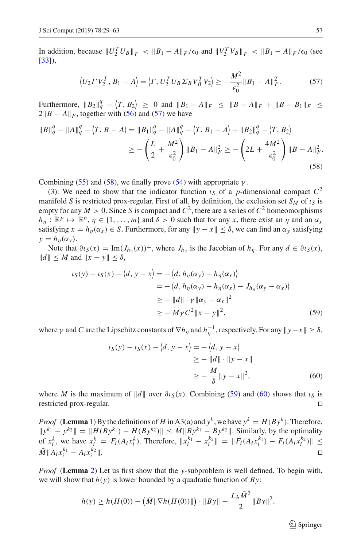In addition, because  $||U_2^T U_B||_F < ||B_1 - A||_F / \epsilon_0$  and  $||V_2^T V_B||_F < ||B_1 - A||_F / \epsilon_0$  (see [\[33\]](#page-33-28)),

<span id="page-28-1"></span><span id="page-28-0"></span>
$$
\langle U_2 \Gamma V_2^T, B_1 - A \rangle = \langle \Gamma, U_2^T U_B \Sigma_B V_B^T V_2 \rangle \ge -\frac{M^2}{\epsilon_0^2} \| B_1 - A \|_F^2. \tag{57}
$$

Furthermore,  $||B_2||_q^q - \langle T, B_2 \rangle \ge 0$  and  $||B_1 - A||_F \le ||B - A||_F + ||B - B_1||_F \le$  $2||B - A||_F$ , together with [\(56\)](#page-27-1) and [\(57\)](#page-28-0) we have

$$
\|B\|_{q}^{q} - \|A\|_{q}^{q} - \langle T, B - A \rangle = \|B_{1}\|_{q}^{q} - \|A\|_{q}^{q} - \langle T, B_{1} - A \rangle + \|B_{2}\|_{q}^{q} - \langle T, B_{2} \rangle
$$
  

$$
\geq -\left(\frac{L}{2} + \frac{M^{2}}{\epsilon_{0}^{2}}\right) \|B_{1} - A\|_{F}^{2} \geq -\left(2L + \frac{4M^{2}}{\epsilon_{0}^{2}}\right) \|B - A\|_{F}^{2}.
$$
\n(58)

Combining [\(55\)](#page-27-2) and [\(58\)](#page-28-1), we finally prove [\(54\)](#page-27-3) with appropriate  $\gamma$ .

(3): We need to show that the indicator function  $\iota_S$  of a *p*-dimensional compact  $C^2$ manifold *S* is restricted prox-regular. First of all, by definition, the exclusion set  $S_M$  of  $\iota_S$  is empty for any  $M > 0$ . Since *S* is compact and  $C^2$ , there are a series of  $C^2$  homeomorphisms  $h_n : \mathbb{R}^p \mapsto \mathbb{R}^n$ ,  $\eta \in \{1, \ldots, m\}$  and  $\delta > 0$  such that for any *x*, there exist an  $\eta$  and an  $\alpha_x$ satisfying  $x = h_{\eta}(\alpha_x) \in S$ . Furthermore, for any  $||y - x|| \le \delta$ , we can find an  $\alpha_y$  satisfying  $y = h_n(\alpha_y)$ .

Note that  $\partial \iota_S(x) = \text{Im}(J_{h_n}(x))^{\perp}$ , where  $J_{h_n}$  is the Jacobian of  $h_n$ . For any  $d \in \partial \iota_S(x)$ ,  $||d|| \leq M$  and  $||x - y|| \leq \delta$ ,

$$
\iota_S(y) - \iota_S(x) - \langle d, y - x \rangle = -\langle d, h_\eta(\alpha_y) - h_\eta(\alpha_x) \rangle
$$
  
= -\langle d, h\_\eta(\alpha\_y) - h\_\eta(\alpha\_x) - J\_{h\_\eta}(\alpha\_y - \alpha\_x) \rangle  

$$
\geq -\|d\| \cdot \gamma \|\alpha_y - \alpha_x\|^2
$$
  

$$
\geq -M\gamma C^2 \|x - y\|^2,
$$
 (59)

where  $\gamma$  and *C* are the Lipschitz constants of  $\nabla h_\eta$  and  $h_\eta^{-1}$ , respectively. For any  $\|y - x\| \ge \delta$ ,

<span id="page-28-2"></span>
$$
\begin{aligned} \iota_S(y) - \iota_S(x) - \langle d, y - x \rangle &= -\langle d, y - x \rangle \\ &\ge - \|d\| \cdot \|y - x\| \\ &\ge - \frac{M}{\delta} \|y - x\|^2, \end{aligned} \tag{60}
$$

where *M* is the maximum of  $||d||$  over  $\partial \iota_S(x)$ . Combining [\(59\)](#page-28-2) and [\(60\)](#page-28-3) shows that  $\iota_S$  is restricted prox-regular.

*Proof* (**Lemma** [1\)](#page-7-0) By the definitions of *H* in A3(a) and  $y^k$ , we have  $y^k = H(By^k)$ . Therefore,  $||y^{k_1} - y^{k_2}|| = ||H(By^{k_1}) - H(By^{k_2})|| \leq M||By^{k_1} - By^{k_2}||$ . Similarly, by the optimality of  $x_i^k$ , we have  $x_i^k = F_i(A_i x_i^k)$ . Therefore,  $||x_i^{k_1} - x_i^{k_2}|| = ||F_i(A_i x_i^{k_1}) - F_i(A_i x_i^{k_2})|| \le$  $\bar{M}$  ||  $A_i x_i^{k_1} - A_i x_i^{k_2}$  || . Experimental products and the second control of the second control of the second control of the second control of the second control of the second control of the second control of the second control of the second control

*Proof* (**Lemma** [2\)](#page-10-2) Let us first show that the *y*-subproblem is well defined. To begin with, we will show that *h*(*y*) is lower bounded by a quadratic function of *By*:

$$
h(y) \ge h(H(0)) - (\bar{M} \|\nabla h(H(0))\|) \cdot \|By\| - \frac{L_h \bar{M}^2}{2} \|By\|^2.
$$

<span id="page-28-3"></span> $\circled{2}$  Springer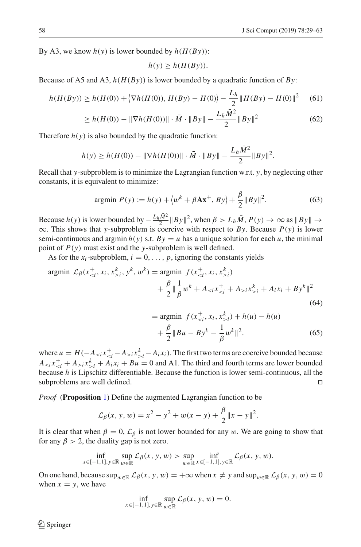By A3, we know  $h(y)$  is lower bounded by  $h(H(By))$ :

$$
h(y) \ge h(H(By)).
$$

Because of A5 and A3, *h*(*H*(*By*)) is lower bounded by a quadratic function of *By*:

$$
h(H(By)) \ge h(H(0)) + \langle \nabla h(H(0)), H(By) - H(0) \rangle - \frac{L_h}{2} ||H(By) - H(0)||^2 \tag{61}
$$

$$
\geq h(H(0)) - \|\nabla h(H(0))\| \cdot \bar{M} \cdot \|By\| - \frac{L_h \bar{M}^2}{2} \|By\|^2 \tag{62}
$$

Therefore  $h(y)$  is also bounded by the quadratic function:

$$
h(y) \ge h(H(0)) - \|\nabla h(H(0))\| \cdot \bar{M} \cdot \|By\| - \frac{L_h \bar{M}^2}{2} \|By\|^2.
$$

Recall that *y*-subproblem is to minimize the Lagrangian function w.r.t. *y*, by neglecting other constants, it is equivalent to minimize:

$$
\text{argmin } P(y) := h(y) + \langle w^k + \beta A x^+, B y \rangle + \frac{\beta}{2} \| B y \|^2. \tag{63}
$$

Because  $h(y)$  is lower bounded by  $-\frac{L_h \bar{M}^2}{2} ||By||^2$ , when  $\beta > L_h \bar{M}$ ,  $P(y) \to \infty$  as  $||By|| \to \infty$ ∞. This shows that *y*-subproblem is coercive with respect to *By*. Because *P*(*y*) is lower semi-continuous and argmin  $h(y)$  s.t.  $By = u$  has a unique solution for each *u*, the minimal point of *P*(*y*) must exist and the *y*-subproblem is well defined.

As for the  $x_i$ -subproblem,  $i = 0, \ldots, p$ , ignoring the constants yields

$$
\text{argmin } \mathcal{L}_{\beta}(x_{i}^k, y^k, w^k) = \text{argmin } f(x_{i}^k) + \frac{\beta}{2} \|\frac{1}{\beta} w^k + A_{i} x_{>i}^k + A_{i} x_i + B y^k\|^2
$$
\n
$$
(64)
$$

$$
= \underset{+}{\text{argmin}} \ f(x_{i}^{k}) + h(u) - h(u)
$$

$$
+ \frac{\beta}{2} \|Bu - By^{k} - \frac{1}{\beta} w^{k} \|^2. \tag{65}
$$

where  $u = H(-A_{\le i}x_{\le i}^{\dagger} - A_{\ge i}x_{\ge i}^{\dagger} - A_i x_i)$ . The first two terms are coercive bounded because  $A_{\le i} x_{\le i}^+ + A_{\ge i} x_{\ge i}^k + A_i x_i + B u = 0$  and A1. The third and fourth terms are lower bounded because *h* is Lipschitz differentiable. Because the function is lower semi-continuous, all the subproblems are well defined.

*Proof* (**Proposition** [1\)](#page-2-3) Define the augmented Lagrangian function to be

$$
\mathcal{L}_{\beta}(x, y, w) = x^2 - y^2 + w(x - y) + \frac{\beta}{2} ||x - y||^2.
$$

It is clear that when  $\beta = 0$ ,  $\mathcal{L}_{\beta}$  is not lower bounded for any w. We are going to show that for any  $\beta > 2$ , the duality gap is not zero.

$$
\inf_{x \in [-1,1], y \in \mathbb{R}} \sup_{w \in \mathbb{R}} \mathcal{L}_{\beta}(x, y, w) > \sup_{w \in \mathbb{R}} \inf_{x \in [-1,1], y \in \mathbb{R}} \mathcal{L}_{\beta}(x, y, w).
$$

On one hand, because  $\sup_{w \in \mathbb{R}} \mathcal{L}_{\beta}(x, y, w) = +\infty$  when  $x \neq y$  and  $\sup_{w \in \mathbb{R}} \mathcal{L}_{\beta}(x, y, w) = 0$ when  $x = y$ , we have

$$
\inf_{x \in [-1,1], y \in \mathbb{R}} \sup_{w \in \mathbb{R}} \mathcal{L}_{\beta}(x, y, w) = 0.
$$

 $\circledcirc$  Springer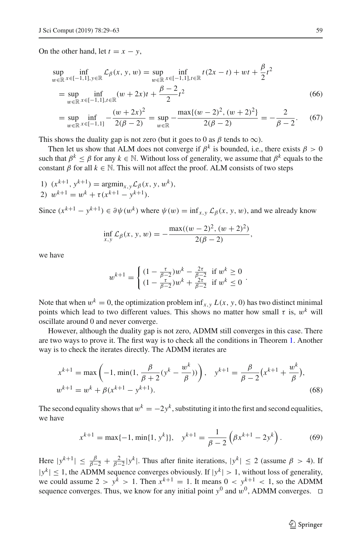On the other hand, let  $t = x - y$ ,

$$
\sup_{w \in \mathbb{R}} \inf_{x \in [-1,1], y \in \mathbb{R}} \mathcal{L}_{\beta}(x, y, w) = \sup_{w \in \mathbb{R}} \inf_{x \in [-1,1], t \in \mathbb{R}} t(2x - t) + wt + \frac{\beta}{2} t^2
$$
\n
$$
= \sup_{w \in \mathbb{R}} \inf_{x \in [-1,1], t \in \mathbb{R}} (w + 2x)t + \frac{\beta - 2}{2} t^2
$$
\n
$$
(66)
$$
\n
$$
(w + 2x)^2 \max\{(w - 2)^2, (w + 2)^2\}
$$

$$
= \sup_{w \in \mathbb{R}} \inf_{x \in [-1,1]} -\frac{(w+2x)^2}{2(\beta-2)} = \sup_{w \in \mathbb{R}} -\frac{\max\{(w-2)^2, (w+2)^2\}}{2(\beta-2)} = -\frac{2}{\beta-2}.
$$
 (67)

This shows the duality gap is not zero (but it goes to 0 as  $\beta$  tends to  $\infty$ ).

Then let us show that ALM does not converge if  $\beta^k$  is bounded, i.e., there exists  $\beta > 0$ such that  $\beta^k < \beta$  for any  $k \in \mathbb{N}$ . Without loss of generality, we assume that  $\beta^k$  equals to the constant  $\beta$  for all  $k \in \mathbb{N}$ . This will not affect the proof. ALM consists of two steps

1)  $(x^{k+1}, y^{k+1}) = \text{argmin}_{x, y} \mathcal{L}_{\beta}(x, y, w^k),$ 2)  $w^{k+1} = w^k + \tau (x^{k+1} - y^{k+1}).$ 

Since  $(x^{k+1} - y^{k+1}) \in \partial \psi(w^k)$  where  $\psi(w) = \inf_{x,y} \mathcal{L}_{\beta}(x, y, w)$ , and we already know

$$
\inf_{x,y} \mathcal{L}_{\beta}(x, y, w) = -\frac{\max((w-2)^2, (w+2)^2)}{2(\beta-2)},
$$

we have

$$
w^{k+1} = \begin{cases} (1 - \frac{\tau}{\beta - 2})w^k - \frac{2\tau}{\beta - 2} & \text{if } w^k \ge 0\\ (1 - \frac{\tau}{\beta - 2})w^k + \frac{2\tau}{\beta - 2} & \text{if } w^k \le 0 \end{cases}.
$$

Note that when  $w^k = 0$ , the optimization problem inf<sub>*x*,*y*</sub>  $L(x, y, 0)$  has two distinct minimal points which lead to two different values. This shows no matter how small  $\tau$  is,  $w^k$  will oscillate around 0 and never converge.

However, although the duality gap is not zero, ADMM still converges in this case. There are two ways to prove it. The first way is to check all the conditions in Theorem [1.](#page-8-0) Another way is to check the iterates directly. The ADMM iterates are

$$
x^{k+1} = \max\left(-1, \min(1, \frac{\beta}{\beta+2}(y^k - \frac{w^k}{\beta}))\right), \quad y^{k+1} = \frac{\beta}{\beta-2}(x^{k+1} + \frac{w^k}{\beta}),
$$
  

$$
w^{k+1} = w^k + \beta(x^{k+1} - y^{k+1}).
$$
 (68)

The second equality shows that  $w^k = -2y^k$ , substituting it into the first and second equalities, we have

$$
x^{k+1} = \max\{-1, \min\{1, y^k\}\}, \quad y^{k+1} = \frac{1}{\beta - 2} \left(\beta x^{k+1} - 2y^k\right). \tag{69}
$$

Here  $|y^{k+1}| \leq \frac{\beta}{\beta-2} + \frac{2}{\beta-2}|y^k|$ . Thus after finite iterations,  $|y^k| \leq 2$  (assume  $\beta > 4$ ). If  $|y^k| \le 1$ , the ADMM sequence converges obviously. If  $|y^k| > 1$ , without loss of generality, we could assume  $2 > y^k > 1$ . Then  $x^{k+1} = 1$ . It means  $0 < y^{k+1} < 1$ , so the ADMM sequence converges. Thus, we know for any initial point  $y^0$  and  $w^0$ , ADMM converges.  $\Box$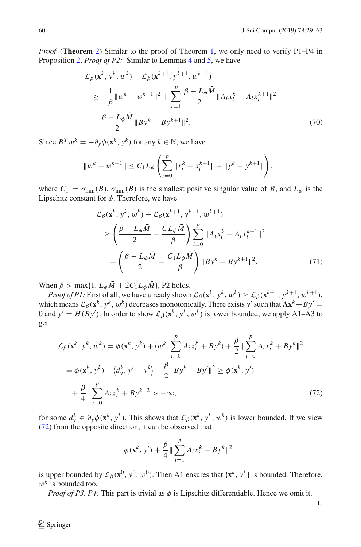*Proof* (**Theorem** [2\)](#page-9-0) Similar to the proof of Theorem [1,](#page-8-0) we only need to verify P1–P4 in Proposition [2.](#page-10-0) *Proof of P2:* Similar to Lemmas [4](#page-11-4) and [5,](#page-12-0) we have

$$
\mathcal{L}_{\beta}(\mathbf{x}^{k}, y^{k}, w^{k}) - \mathcal{L}_{\beta}(\mathbf{x}^{k+1}, y^{k+1}, w^{k+1})
$$
\n
$$
\geq -\frac{1}{\beta} \|w^{k} - w^{k+1}\|^{2} + \sum_{i=1}^{p} \frac{\beta - L_{\phi}\bar{M}}{2} \|A_{i}x_{i}^{k} - A_{i}x_{i}^{k+1}\|^{2}
$$
\n
$$
+ \frac{\beta - L_{\phi}\bar{M}}{2} \|By^{k} - By^{k+1}\|^{2}.
$$
\n(70)

Since  $B^T w^k = -\partial_y \phi(\mathbf{x}^k, y^k)$  for any  $k \in \mathbb{N}$ , we have

$$
||w^{k} - w^{k+1}|| \leq C_1 L_{\phi} \left( \sum_{i=0}^{p} ||x_i^{k} - x_i^{k+1}|| + ||y^{k} - y^{k+1}|| \right),
$$

where  $C_1 = \sigma_{\min}(B)$ ,  $\sigma_{\min}(B)$  is the smallest positive singular value of *B*, and  $L_{\phi}$  is the Lipschitz constant for  $\phi$ . Therefore, we have

$$
\mathcal{L}_{\beta}(\mathbf{x}^{k}, y^{k}, w^{k}) - \mathcal{L}_{\beta}(\mathbf{x}^{k+1}, y^{k+1}, w^{k+1})
$$
\n
$$
\geq \left(\frac{\beta - L_{\phi}\bar{M}}{2} - \frac{CL_{\phi}\bar{M}}{\beta}\right) \sum_{i=0}^{p} ||A_{i}x_{i}^{k} - A_{i}x_{i}^{k+1}||^{2}
$$
\n
$$
+ \left(\frac{\beta - L_{\phi}\bar{M}}{2} - \frac{C_{1}L_{\phi}\bar{M}}{\beta}\right) ||By^{k} - By^{k+1}||^{2}.
$$
\n(71)

When  $\beta$  > max{1,  $L_{\phi} \overline{M}$  + 2 $C_1 L_{\phi} \overline{M}$ }, P2 holds.

*Proof of P1:* First of all, we have already shown  $\mathcal{L}_{\beta}(\mathbf{x}^k, y^k, w^k) \geq \mathcal{L}_{\beta}(\mathbf{x}^{k+1}, y^{k+1}, w^{k+1}),$ which means  $\mathcal{L}_{\beta}(\mathbf{x}^k, y^k, w^k)$  decreases monotonically. There exists *y'* such that  $\mathbf{A}\mathbf{x}^k + By' =$ 0 and  $y' = H(By')$ . In order to show  $\mathcal{L}_{\beta}(\mathbf{x}^k, y^k, w^k)$  is lower bounded, we apply A1–A3 to get

$$
\mathcal{L}_{\beta}(\mathbf{x}^{k}, y^{k}, w^{k}) = \phi(\mathbf{x}^{k}, y^{k}) + \langle w^{k}, \sum_{i=0}^{p} A_{i}x_{i}^{k} + By^{k} \rangle + \frac{\beta}{2} || \sum_{i=0}^{p} A_{i}x_{i}^{k} + By^{k} ||^{2}
$$
  
=  $\phi(\mathbf{x}^{k}, y^{k}) + \langle d_{y}^{k}, y' - y^{k} \rangle + \frac{\beta}{2} || By^{k} - By^{k} ||^{2} \ge \phi(\mathbf{x}^{k}, y') + \frac{\beta}{4} || \sum_{i=0}^{p} A_{i}x_{i}^{k} + By^{k} ||^{2} > -\infty,$  (72)

for some  $d_y^k \in \partial_y \phi(\mathbf{x}^k, y^k)$ . This shows that  $\mathcal{L}_{\beta}(\mathbf{x}^k, y^k, w^k)$  is lower bounded. If we view [\(72\)](#page-31-0) from the opposite direction, it can be observed that

<span id="page-31-0"></span>
$$
\phi(\mathbf{x}^k, y') + \frac{\beta}{4} \|\sum_{i=1}^p A_i x_i^k + B y^k\|^2
$$

is upper bounded by  $\mathcal{L}_{\beta}(\mathbf{x}^0, y^0, w^0)$ . Then A1 ensures that  $\{\mathbf{x}^k, y^k\}$  is bounded. Therefore,  $w^k$  is bounded too.

*Proof of P3, P4:* This part is trivial as  $\phi$  is Lipschitz differentiable. Hence we omit it.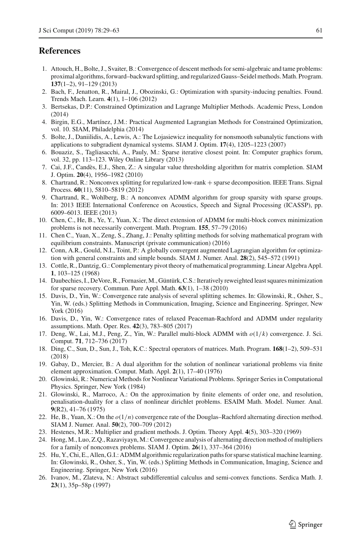# **References**

- <span id="page-32-14"></span>1. Attouch, H., Bolte, J., Svaiter, B.: Convergence of descent methods for semi-algebraic and tame problems: proximal algorithms, forward–backward splitting, and regularized Gauss–Seidel methods. Math. Program. **137**(1–2), 91–129 (2013)
- <span id="page-32-18"></span>2. Bach, F., Jenatton, R., Mairal, J., Obozinski, G.: Optimization with sparsity-inducing penalties. Found. Trends Mach. Learn. **4**(1), 1–106 (2012)
- <span id="page-32-5"></span>3. Bertsekas, D.P.: Constrained Optimization and Lagrange Multiplier Methods. Academic Press, London (2014)
- <span id="page-32-6"></span>4. Birgin, E.G., Martínez, J.M.: Practical Augmented Lagrangian Methods for Constrained Optimization, vol. 10. SIAM, Philadelphia (2014)
- <span id="page-32-16"></span>5. Bolte, J., Daniilidis, A., Lewis, A.: The Lojasiewicz inequality for nonsmooth subanalytic functions with applications to subgradient dynamical systems. SIAM J. Optim. **17**(4), 1205–1223 (2007)
- <span id="page-32-1"></span>6. Bouaziz, S., Tagliasacchi, A., Pauly, M.: Sparse iterative closest point. In: Computer graphics forum, vol. 32, pp. 113–123. Wiley Online Library (2013)
- <span id="page-32-23"></span>7. Cai, J.F., Candès, E.J., Shen, Z.: A singular value thresholding algorithm for matrix completion. SIAM J. Optim. **20**(4), 1956–1982 (2010)
- <span id="page-32-24"></span>8. Chartrand, R.: Nonconvex splitting for regularized low-rank + sparse decomposition. IEEE Trans. Signal Process. **60**(11), 5810–5819 (2012)
- <span id="page-32-0"></span>9. Chartrand, R., Wohlberg, B.: A nonconvex ADMM algorithm for group sparsity with sparse groups. In: 2013 IEEE International Conference on Acoustics, Speech and Signal Processing (ICASSP), pp. 6009–6013. IEEE (2013)
- <span id="page-32-2"></span>10. Chen, C., He, B., Ye, Y., Yuan, X.: The direct extension of ADMM for multi-block convex minimization problems is not necessarily convergent. Math. Program. **155**, 57–79 (2016)
- <span id="page-32-20"></span>11. Chen C., Yuan, X., Zeng, S., Zhang, J.: Penalty splitting methods for solving mathematical program with equilibrium constraints. Manuscript (private communication) (2016)
- <span id="page-32-4"></span>12. Conn, A.R., Gould, N.I., Toint, P.: A globally convergent augmented Lagrangian algorithm for optimization with general constraints and simple bounds. SIAM J. Numer. Anal. **28**(2), 545–572 (1991)
- <span id="page-32-21"></span>13. Cottle, R., Dantzig, G.: Complementary pivot theory of mathematical programming. Linear Algebra Appl. **1**, 103–125 (1968)
- <span id="page-32-19"></span>14. Daubechies, I., DeVore, R., Fornasier,M., Güntürk, C.S.: Iteratively reweighted least squares minimization for sparse recovery. Commun. Pure Appl. Math. **63**(1), 1–38 (2010)
- <span id="page-32-10"></span>15. Davis, D., Yin, W.: Convergence rate analysis of several splitting schemes. In: Glowinski, R., Osher, S., Yin, W. (eds.) Splitting Methods in Communication, Imaging, Science and Engineering. Springer, New York (2016)
- <span id="page-32-11"></span>16. Davis, D., Yin, W.: Convergence rates of relaxed Peaceman-Rachford and ADMM under regularity assumptions. Math. Oper. Res. **42**(3), 783–805 (2017)
- <span id="page-32-17"></span>17. Deng, W., Lai, M.J., Peng, Z., Yin, W.: Parallel multi-block ADMM with *o*(1/*k*) convergence. J. Sci. Comput. **71**, 712–736 (2017)
- <span id="page-32-25"></span>18. Ding, C., Sun, D., Sun, J., Toh, K.C.: Spectral operators of matrices. Math. Program. **168**(1–2), 509–531 (2018)
- <span id="page-32-7"></span>19. Gabay, D., Mercier, B.: A dual algorithm for the solution of nonlinear variational problems via finite element approximation. Comput. Math. Appl. **2**(1), 17–40 (1976)
- <span id="page-32-9"></span>20. Glowinski, R.: Numerical Methods for Nonlinear Variational Problems. Springer Series in Computational Physics. Springer, New York (1984)
- <span id="page-32-8"></span>21. Glowinski, R., Marroco, A.: On the approximation by finite elements of order one, and resolution, penalisation-duality for a class of nonlinear dirichlet problems. ESAIM Math. Model. Numer. Anal. **9**(R2), 41–76 (1975)
- <span id="page-32-12"></span>22. He, B., Yuan, X.: On the *o*(1/*n*) convergence rate of the Douglas–Rachford alternating direction method. SIAM J. Numer. Anal. **50**(2), 700–709 (2012)
- <span id="page-32-3"></span>23. Hestenes, M.R.: Multiplier and gradient methods. J. Optim. Theory Appl. **4**(5), 303–320 (1969)
- <span id="page-32-13"></span>24. Hong, M., Luo, Z.Q., Razaviyayn, M.: Convergence analysis of alternating direction method of multipliers for a family of nonconvex problems. SIAM J. Optim. **26**(1), 337–364 (2016)
- <span id="page-32-22"></span>25. Hu, Y., Chi, E., Allen, G.I.: ADMM algorithmic regularization paths for sparse statistical machine learning. In: Glowinski, R., Osher, S., Yin, W. (eds.) Splitting Methods in Communication, Imaging, Science and Engineering. Springer, New York (2016)
- <span id="page-32-15"></span>26. Ivanov, M., Zlateva, N.: Abstract subdifferential calculus and semi-convex functions. Serdica Math. J. **23**(1), 35p–58p (1997)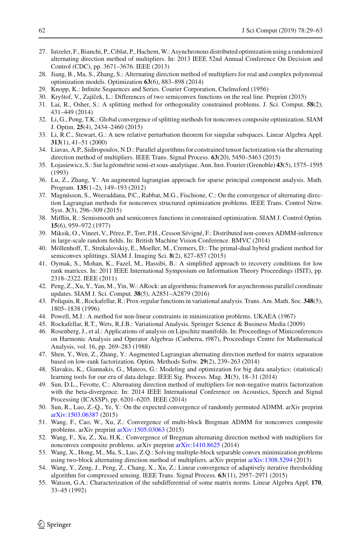- <span id="page-33-19"></span>27. Iutzeler, F., Bianchi, P., Ciblat, P., Hachem,W.: Asynchronous distributed optimization using a randomized alternating direction method of multipliers. In: 2013 IEEE 52nd Annual Conference On Decision and Control (CDC), pp. 3671–3676. IEEE (2013)
- <span id="page-33-6"></span>28. Jiang, B., Ma, S., Zhang, S.: Alternating direction method of multipliers for real and complex polynomial optimization models. Optimization **63**(6), 883–898 (2014)
- <span id="page-33-18"></span>29. Knopp, K.: Infinite Sequences and Series. Courier Corporation, Chelmsford (1956)
- <span id="page-33-13"></span>30. Kryštof, V., Zajíček, L.: Differences of two semiconvex functions on the real line. Preprint (2015)
- <span id="page-33-3"></span>31. Lai, R., Osher, S.: A splitting method for orthogonality constrained problems. J. Sci. Comput. **58**(2), 431–449 (2014)
- <span id="page-33-8"></span>32. Li, G., Pong, T.K.: Global convergence of splitting methods for nonconvex composite optimization. SIAM J. Optim. **25**(4), 2434–2460 (2015)
- <span id="page-33-28"></span>33. Li, R.C., Stewart, G.: A new relative perturbation theorem for singular subspaces. Linear Algebra Appl. **313**(1), 41–51 (2000)
- <span id="page-33-2"></span>34. Liavas, A.P., Sidiropoulos, N.D.: Parallel algorithms for constrained tensor factorization via the alternating direction method of multipliers. IEEE Trans. Signal Process. **63**(20), 5450–5463 (2015)
- <span id="page-33-17"></span>35. Łojasiewicz, S.: Sur la géométrie semi-et sous-analytique. Ann. Inst. Fourier (Grenoble) **43**(5), 1575–1595 (1993)
- <span id="page-33-23"></span>36. Lu, Z., Zhang, Y.: An augmented lagrangian approach for sparse principal component analysis. Math. Program. **135**(1–2), 149–193 (2012)
- <span id="page-33-7"></span>37. Magnússon, S., Weeraddana, P.C., Rabbat, M.G., Fischione, C.: On the convergence of alternating direction Lagrangian methods for nonconvex structured optimization problems. IEEE Trans. Control Netw. Syst. **3**(3), 296–309 (2015)
- <span id="page-33-14"></span>38. Mifflin, R.: Semismooth and semiconvex functions in constrained optimization. SIAM J. Control Optim. **15**(6), 959–972 (1977)
- <span id="page-33-4"></span>39. Miksik, O., Vineet, V., Pérez, P., Torr, P.H., Cesson Sévigné, F.: Distributed non-convex ADMM-inference in large-scale random fields. In: British Machine Vision Conference. BMVC (2014)
- <span id="page-33-15"></span>40. Möllenhoff, T., Strekalovskiy, E., Moeller, M., Cremers, D.: The primal-dual hybrid gradient method for semiconvex splittings. SIAM J. Imaging Sci. **8**(2), 827–857 (2015)
- <span id="page-33-26"></span>41. Oymak, S., Mohan, K., Fazel, M., Hassibi, B.: A simplified approach to recovery conditions for low rank matrices. In: 2011 IEEE International Symposium on Information Theory Proceedings (ISIT), pp. 2318–2322. IEEE (2011)
- <span id="page-33-20"></span>42. Peng, Z., Xu, Y., Yan, M., Yin, W.: ARock: an algorithmic framework for asynchronous parallel coordinate updates. SIAM J. Sci. Comput. **38**(5), A2851–A2879 (2016)
- <span id="page-33-12"></span>43. Poliquin, R., Rockafellar, R.: Prox-regular functions in variational analysis. Trans. Am. Math. Soc. **348**(5), 1805–1838 (1996)
- <span id="page-33-5"></span>44. Powell, M.J.: A method for non-linear constraints in minimization problems. UKAEA (1967)
- <span id="page-33-11"></span>45. Rockafellar, R.T., Wets, R.J.B.: Variational Analysis. Springer Science & Business Media (2009)
- <span id="page-33-16"></span>46. Rosenberg, J., et al.: Applications of analysis on Lipschitz manifolds. In: Proceedings of Miniconferences on Harmonic Analysis and Operator Algebras (Canberra, t987), Proceedings Centre for Mathematical Analysis, vol. 16, pp. 269–283 (1988)
- <span id="page-33-0"></span>47. Shen, Y., Wen, Z., Zhang, Y.: Augmented Lagrangian alternating direction method for matrix separation based on low-rank factorization. Optim. Methods Softw. **29**(2), 239–263 (2014)
- <span id="page-33-24"></span>48. Slavakis, K., Giannakis, G., Mateos, G.: Modeling and optimization for big data analytics: (statistical) learning tools for our era of data deluge. IEEE Sig. Process. Mag. **31**(5), 18–31 (2014)
- <span id="page-33-1"></span>49. Sun, D.L., Fevotte, C.: Alternating direction method of multipliers for non-negative matrix factorization with the beta-divergence. In: 2014 IEEE International Conference on Acoustics, Speech and Signal Processing (ICASSP), pp. 6201–6205. IEEE (2014)
- <span id="page-33-21"></span>50. Sun, R., Luo, Z.-Q., Ye, Y.: On the expected convergence of randomly permuted ADMM. arXiv preprint [arXiv:1503.06387](http://arxiv.org/abs/1503.06387) (2015)
- <span id="page-33-9"></span>51. Wang, F., Cao, W., Xu, Z.: Convergence of multi-block Bregman ADMM for nonconvex composite problems. arXiv preprint [arXiv:1505.03063](http://arxiv.org/abs/1505.03063) (2015)
- <span id="page-33-10"></span>52. Wang, F., Xu, Z., Xu, H.K.: Convergence of Bregman alternating direction method with multipliers for nonconvex composite problems. arXiv preprint [arXiv:1410.8625](http://arxiv.org/abs/1410.8625) (2014)
- <span id="page-33-25"></span>53. Wang, X., Hong, M., Ma, S., Luo, Z.Q.: Solving multiple-block separable convex minimization problems using two-block alternating direction method of multipliers. arXiv preprint [arXiv:1308.5294](http://arxiv.org/abs/1308.5294) (2013)
- <span id="page-33-22"></span>54. Wang, Y., Zeng, J., Peng, Z., Chang, X., Xu, Z.: Linear convergence of adaptively iterative thresholding algorithm for compressed sensing. IEEE Trans. Signal Process. **63**(11), 2957–2971 (2015)
- <span id="page-33-27"></span>55. Watson, G.A.: Characterization of the subdifferential of some matrix norms. Linear Algebra Appl. **170**, 33–45 (1992)